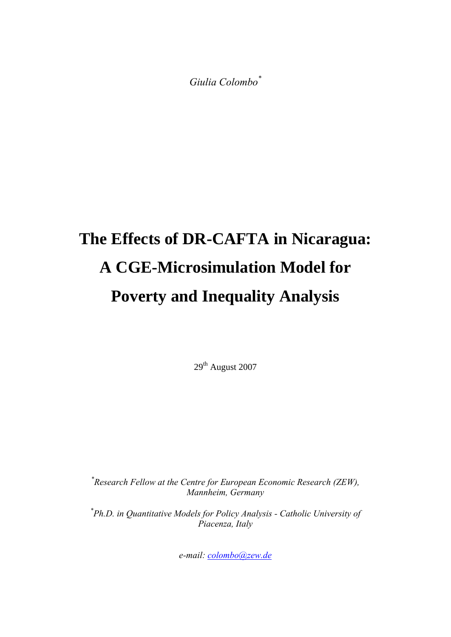*Giulia Colombo\**

# **The Effects of DR-CAFTA in Nicaragua: A CGE-Microsimulation Model for Poverty and Inequality Analysis**

29<sup>th</sup> August 2007

*\* Research Fellow at the Centre for European Economic Research (ZEW), Mannheim, Germany* 

*\* Ph.D. in Quantitative Models for Policy Analysis - Catholic University of Piacenza, Italy* 

*e-mail: [colombo@zew.de](mailto:colombo@zew.de)*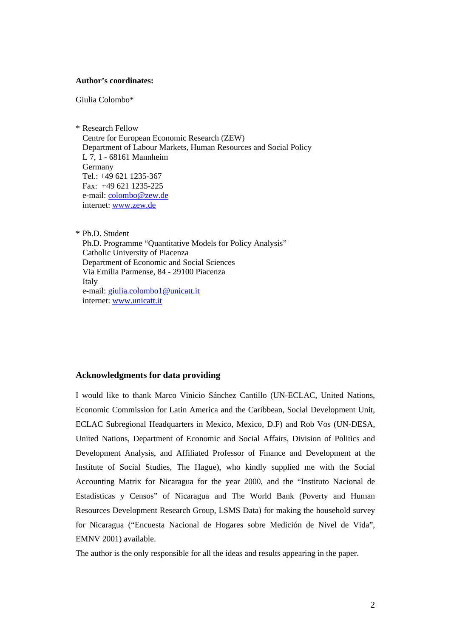#### **Author's coordinates:**

Giulia Colombo\*

\* Research Fellow Centre for European Economic Research (ZEW) Department of Labour Markets, Human Resources and Social Policy L 7, 1 - 68161 Mannheim Germany Tel.: +49 621 1235-367 Fax: +49 621 1235-225 e-mail: colombo@zew.de internet: www.zew.de

\* Ph.D. Student Ph.D. Programme "Quantitative Models for Policy Analysis" Catholic University of Piacenza Department of Economic and Social Sciences Via Emilia Parmense, 84 - 29100 Piacenza Italy e-mail: [giulia.colombo1@unicatt.it](mailto:giulia.colombo1@unicatt.it) internet: www.unicatt.it

#### **Acknowledgments for data providing**

I would like to thank Marco Vinicio Sánchez Cantillo (UN-ECLAC, United Nations, Economic Commission for Latin America and the Caribbean, Social Development Unit, ECLAC Subregional Headquarters in Mexico, Mexico, D.F) and Rob Vos (UN-DESA, United Nations, Department of Economic and Social Affairs, Division of Politics and Development Analysis, and Affiliated Professor of Finance and Development at the Institute of Social Studies, The Hague), who kindly supplied me with the Social Accounting Matrix for Nicaragua for the year 2000, and the "Instituto Nacional de Estadísticas y Censos" of Nicaragua and The World Bank (Poverty and Human Resources Development Research Group, LSMS Data) for making the household survey for Nicaragua ("Encuesta Nacional de Hogares sobre Medición de Nivel de Vida", EMNV 2001) available.

The author is the only responsible for all the ideas and results appearing in the paper.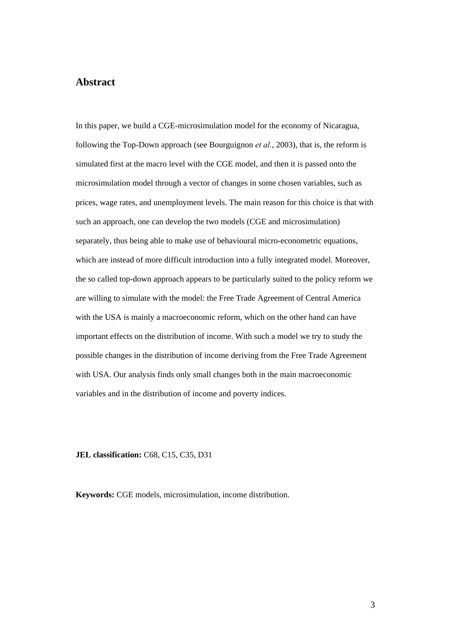## **Abstract**

In this paper, we build a CGE-microsimulation model for the economy of Nicaragua, following the Top-Down approach (see Bourguignon *et al.*, 2003), that is, the reform is simulated first at the macro level with the CGE model, and then it is passed onto the microsimulation model through a vector of changes in some chosen variables, such as prices, wage rates, and unemployment levels. The main reason for this choice is that with such an approach, one can develop the two models (CGE and microsimulation) separately, thus being able to make use of behavioural micro-econometric equations, which are instead of more difficult introduction into a fully integrated model. Moreover, the so called top-down approach appears to be particularly suited to the policy reform we are willing to simulate with the model: the Free Trade Agreement of Central America with the USA is mainly a macroeconomic reform, which on the other hand can have important effects on the distribution of income. With such a model we try to study the possible changes in the distribution of income deriving from the Free Trade Agreement with USA. Our analysis finds only small changes both in the main macroeconomic variables and in the distribution of income and poverty indices.

**JEL classification:** C68, C15, C35, D31

**Keywords:** CGE models, microsimulation, income distribution.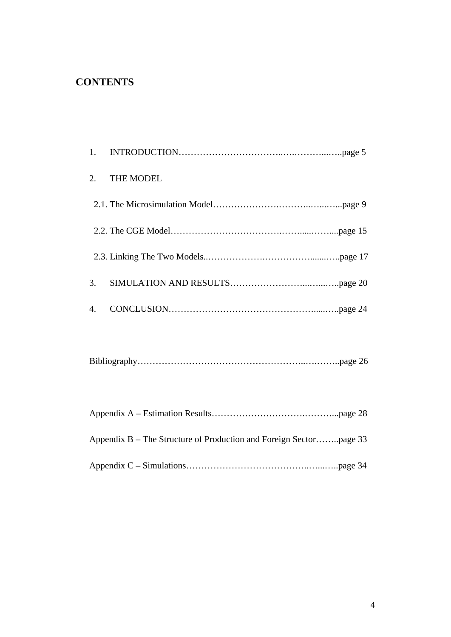# **CONTENTS**

| 1. |                  |
|----|------------------|
| 2. | <b>THE MODEL</b> |
|    |                  |
|    |                  |
|    |                  |
| 3. |                  |
| 4. |                  |

|--|--|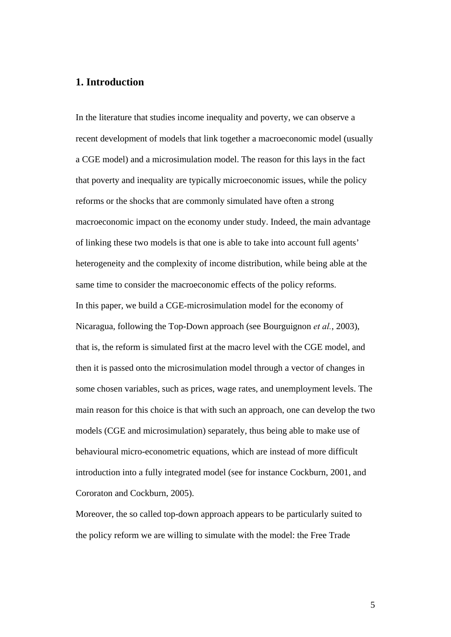# **1. Introduction**

In the literature that studies income inequality and poverty, we can observe a recent development of models that link together a macroeconomic model (usually a CGE model) and a microsimulation model. The reason for this lays in the fact that poverty and inequality are typically microeconomic issues, while the policy reforms or the shocks that are commonly simulated have often a strong macroeconomic impact on the economy under study. Indeed, the main advantage of linking these two models is that one is able to take into account full agents' heterogeneity and the complexity of income distribution, while being able at the same time to consider the macroeconomic effects of the policy reforms. In this paper, we build a CGE-microsimulation model for the economy of Nicaragua, following the Top-Down approach (see Bourguignon *et al.*, 2003), that is, the reform is simulated first at the macro level with the CGE model, and then it is passed onto the microsimulation model through a vector of changes in some chosen variables, such as prices, wage rates, and unemployment levels. The main reason for this choice is that with such an approach, one can develop the two models (CGE and microsimulation) separately, thus being able to make use of behavioural micro-econometric equations, which are instead of more difficult introduction into a fully integrated model (see for instance Cockburn, 2001, and Cororaton and Cockburn, 2005).

Moreover, the so called top-down approach appears to be particularly suited to the policy reform we are willing to simulate with the model: the Free Trade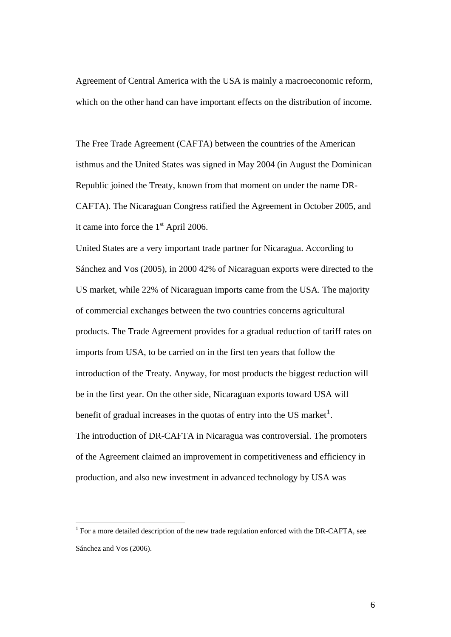Agreement of Central America with the USA is mainly a macroeconomic reform, which on the other hand can have important effects on the distribution of income.

The Free Trade Agreement (CAFTA) between the countries of the American isthmus and the United States was signed in May 2004 (in August the Dominican Republic joined the Treaty, known from that moment on under the name DR-CAFTA). The Nicaraguan Congress ratified the Agreement in October 2005, and it came into force the  $1<sup>st</sup>$  April 2006.

United States are a very important trade partner for Nicaragua. According to Sánchez and Vos (2005), in 2000 42% of Nicaraguan exports were directed to the US market, while 22% of Nicaraguan imports came from the USA. The majority of commercial exchanges between the two countries concerns agricultural products. The Trade Agreement provides for a gradual reduction of tariff rates on imports from USA, to be carried on in the first ten years that follow the introduction of the Treaty. Anyway, for most products the biggest reduction will be in the first year. On the other side, Nicaraguan exports toward USA will benefit of gradual increases in the quotas of entry into the US market<sup>[1](#page-5-0)</sup>. The introduction of DR-CAFTA in Nicaragua was controversial. The promoters of the Agreement claimed an improvement in competitiveness and efficiency in production, and also new investment in advanced technology by USA was

<span id="page-5-0"></span><sup>&</sup>lt;sup>1</sup> For a more detailed description of the new trade regulation enforced with the DR-CAFTA, see Sánchez and Vos (2006).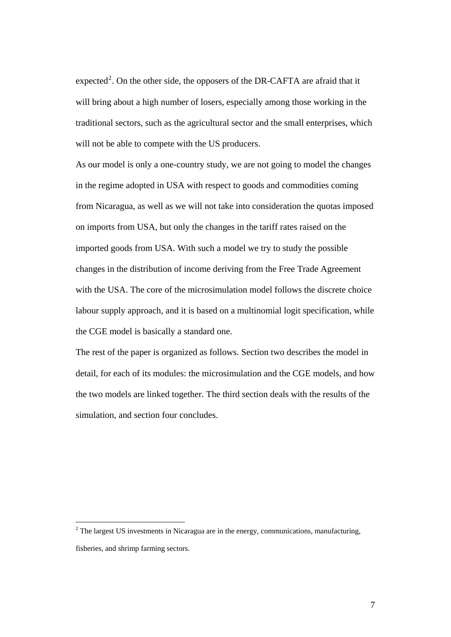expected<sup>[2](#page-6-0)</sup>. On the other side, the opposers of the DR-CAFTA are afraid that it will bring about a high number of losers, especially among those working in the traditional sectors, such as the agricultural sector and the small enterprises, which will not be able to compete with the US producers.

As our model is only a one-country study, we are not going to model the changes in the regime adopted in USA with respect to goods and commodities coming from Nicaragua, as well as we will not take into consideration the quotas imposed on imports from USA, but only the changes in the tariff rates raised on the imported goods from USA. With such a model we try to study the possible changes in the distribution of income deriving from the Free Trade Agreement with the USA. The core of the microsimulation model follows the discrete choice labour supply approach, and it is based on a multinomial logit specification, while the CGE model is basically a standard one.

The rest of the paper is organized as follows. Section two describes the model in detail, for each of its modules: the microsimulation and the CGE models, and how the two models are linked together. The third section deals with the results of the simulation, and section four concludes.

 $\overline{a}$ 

<span id="page-6-0"></span> $2^2$  The largest US investments in Nicaragua are in the energy, communications, manufacturing, fisheries, and shrimp farming sectors.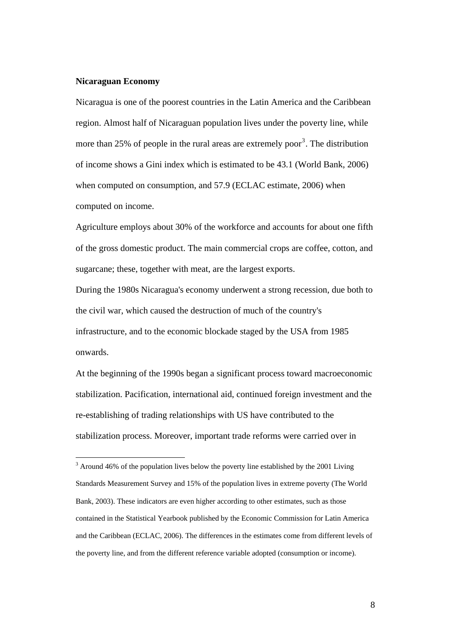#### **Nicaraguan Economy**

 $\overline{a}$ 

Nicaragua is one of the poorest countries in the Latin America and the Caribbean region. Almost half of Nicaraguan population lives under the poverty line, while more than 25% of people in the rural areas are extremely poor<sup>[3](#page-7-0)</sup>. The distribution of income shows a Gini index which is estimated to be 43.1 (World Bank, 2006) when computed on consumption, and 57.9 (ECLAC estimate, 2006) when computed on income.

Agriculture employs about 30% of the workforce and accounts for about one fifth of the gross domestic product. The main commercial crops are coffee, cotton, and sugarcane; these, together with meat, are the largest exports.

During the 1980s Nicaragua's economy underwent a strong recession, due both to the civil war, which caused the destruction of much of the country's infrastructure, and to the economic blockade staged by the USA from 1985 onwards.

At the beginning of the 1990s began a significant process toward macroeconomic stabilization. Pacification, international aid, continued foreign investment and the re-establishing of trading relationships with US have contributed to the stabilization process. Moreover, important trade reforms were carried over in

<span id="page-7-0"></span> $3$  Around 46% of the population lives below the poverty line established by the 2001 Living Standards Measurement Survey and 15% of the population lives in extreme poverty (The World Bank, 2003). These indicators are even higher according to other estimates, such as those contained in the Statistical Yearbook published by the Economic Commission for Latin America and the Caribbean (ECLAC, 2006). The differences in the estimates come from different levels of the poverty line, and from the different reference variable adopted (consumption or income).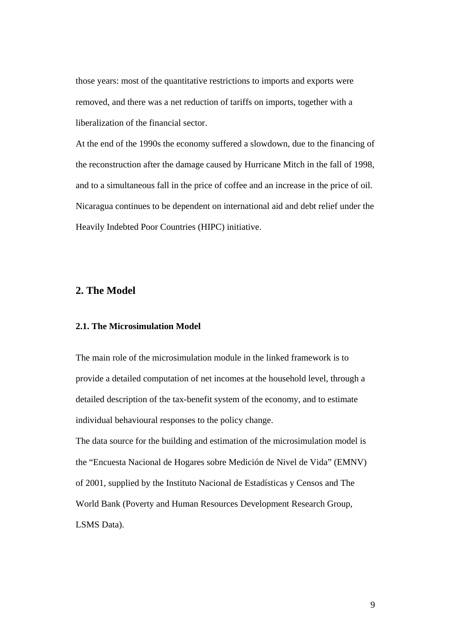those years: most of the quantitative restrictions to imports and exports were removed, and there was a net reduction of tariffs on imports, together with a liberalization of the financial sector.

At the end of the 1990s the economy suffered a slowdown, due to the financing of the reconstruction after the damage caused by Hurricane Mitch in the fall of 1998, and to a simultaneous fall in the price of coffee and an increase in the price of oil. Nicaragua continues to be dependent on international aid and debt relief under the Heavily Indebted Poor Countries (HIPC) initiative.

# **2. The Model**

#### **2.1. The Microsimulation Model**

The main role of the microsimulation module in the linked framework is to provide a detailed computation of net incomes at the household level, through a detailed description of the tax-benefit system of the economy, and to estimate individual behavioural responses to the policy change.

The data source for the building and estimation of the microsimulation model is the "Encuesta Nacional de Hogares sobre Medición de Nivel de Vida" (EMNV) of 2001, supplied by the Instituto Nacional de Estadísticas y Censos and The World Bank (Poverty and Human Resources Development Research Group, LSMS Data).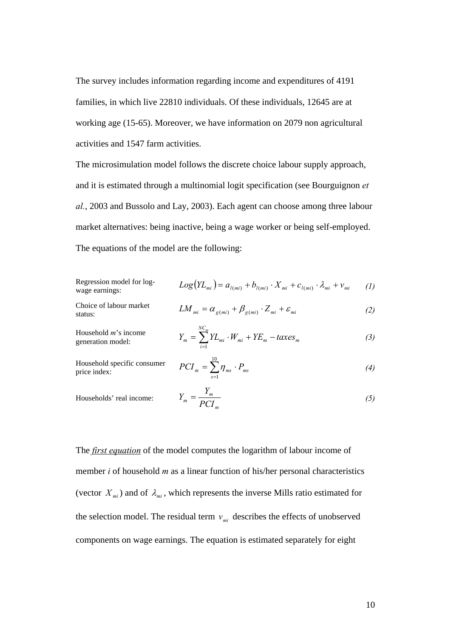The survey includes information regarding income and expenditures of 4191 families, in which live 22810 individuals. Of these individuals, 12645 are at working age (15-65). Moreover, we have information on 2079 non agricultural activities and 1547 farm activities.

The microsimulation model follows the discrete choice labour supply approach, and it is estimated through a multinomial logit specification (see Bourguignon *et al.*, 2003 and Bussolo and Lay, 2003). Each agent can choose among three labour market alternatives: being inactive, being a wage worker or being self-employed. The equations of the model are the following:

Regression model for log-  
wage earnings: 
$$
Log(YL_{mi}) = a_{l(mi)} + b_{l(mi)} \cdot X_{mi} + c_{l(mi)} \cdot \lambda_{mi} + v_{mi}
$$
 (1)

 $1<sub>0</sub>$ 

Choice of labour market status:

$$
LM_{mi} = \alpha_{g(mi)} + \beta_{g(mi)} \cdot Z_{mi} + \varepsilon_{mi}
$$
 (2)

Household *m*'s income generation model: *<sup>m</sup> <sup>m</sup>*

$$
Y_{m} = \sum_{i=1}^{NC_{m}} Y L_{mi} \cdot W_{mi} + Y E_{m} - t axes_{m}
$$
 (3)

Household specific consumer  $PCI_m = \sum_{s=1}^{N}$ 

$$
PCI_m = \sum_{s=1}^{N} \eta_{ms} \cdot P_{ms} \tag{4}
$$

Households' real income:

$$
Y_m = \frac{Y_m}{PCI_m} \tag{5}
$$

The *first equation* of the model computes the logarithm of labour income of member *i* of household *m* as a linear function of his/her personal characteristics (vector  $X_{mi}$ ) and of  $\lambda_{mi}$ , which represents the inverse Mills ratio estimated for the selection model. The residual term  $v_{mi}$  describes the effects of unobserved components on wage earnings. The equation is estimated separately for eight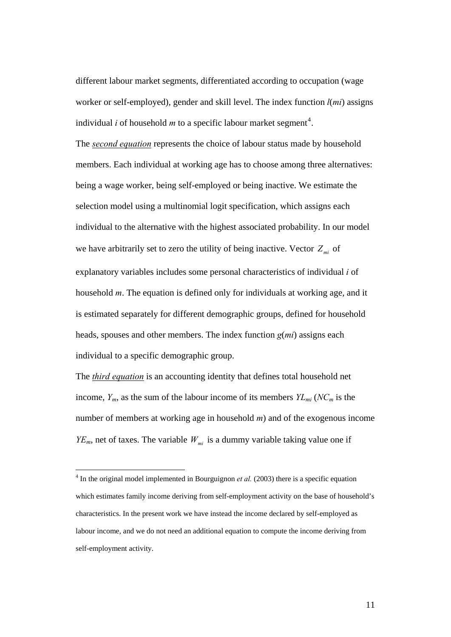different labour market segments, differentiated according to occupation (wage worker or self-employed), gender and skill level. The index function *l*(*mi*) assigns individual *i* of household *m* to a specific labour market segment<sup>[4](#page-10-0)</sup>.

The *second equation* represents the choice of labour status made by household members. Each individual at working age has to choose among three alternatives: being a wage worker, being self-employed or being inactive. We estimate the selection model using a multinomial logit specification, which assigns each individual to the alternative with the highest associated probability. In our model we have arbitrarily set to zero the utility of being inactive. Vector  $Z_{mi}$  of explanatory variables includes some personal characteristics of individual *i* of household *m*. The equation is defined only for individuals at working age, and it is estimated separately for different demographic groups, defined for household heads, spouses and other members. The index function *g*(*mi*) assigns each individual to a specific demographic group.

The *third equation* is an accounting identity that defines total household net income,  $Y_m$ , as the sum of the labour income of its members  $Y_{Lmi}$  ( $NC_m$  is the number of members at working age in household *m*) and of the exogenous income  $YE_m$ , net of taxes. The variable  $W_{mi}$  is a dummy variable taking value one if

<span id="page-10-0"></span> 4 In the original model implemented in Bourguignon *et al.* (2003) there is a specific equation which estimates family income deriving from self-employment activity on the base of household's characteristics. In the present work we have instead the income declared by self-employed as labour income, and we do not need an additional equation to compute the income deriving from self-employment activity.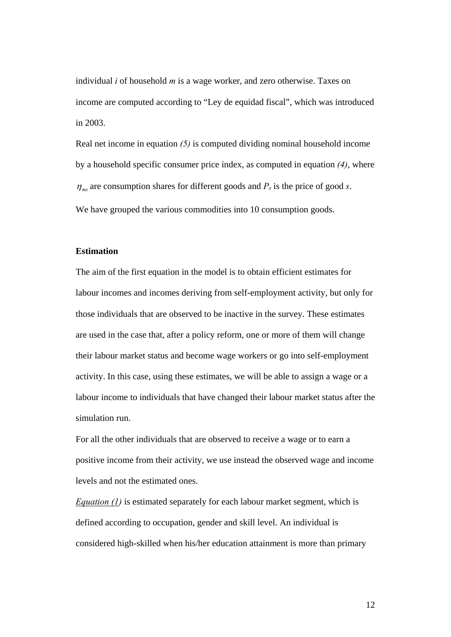individual *i* of household *m* is a wage worker, and zero otherwise. Taxes on income are computed according to "Ley de equidad fiscal", which was introduced in 2003.

Real net income in equation *(5)* is computed dividing nominal household income by a household specific consumer price index, as computed in equation *(4)*, where  $\eta_{ms}$  are consumption shares for different goods and  $P_s$  is the price of good *s*. We have grouped the various commodities into 10 consumption goods.

#### **Estimation**

The aim of the first equation in the model is to obtain efficient estimates for labour incomes and incomes deriving from self-employment activity, but only for those individuals that are observed to be inactive in the survey. These estimates are used in the case that, after a policy reform, one or more of them will change their labour market status and become wage workers or go into self-employment activity. In this case, using these estimates, we will be able to assign a wage or a labour income to individuals that have changed their labour market status after the simulation run.

For all the other individuals that are observed to receive a wage or to earn a positive income from their activity, we use instead the observed wage and income levels and not the estimated ones.

*Equation (1)* is estimated separately for each labour market segment, which is defined according to occupation, gender and skill level. An individual is considered high-skilled when his/her education attainment is more than primary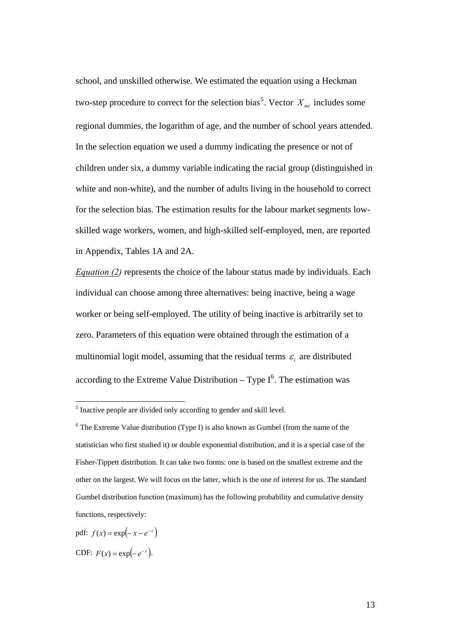school, and unskilled otherwise. We estimated the equation using a Heckman two-step procedure to correct for the selection bias<sup>[5](#page-12-0)</sup>. Vector  $X_{mi}$  includes some regional dummies, the logarithm of age, and the number of school years attended. In the selection equation we used a dummy indicating the presence or not of children under six, a dummy variable indicating the racial group (distinguished in white and non-white), and the number of adults living in the household to correct for the selection bias. The estimation results for the labour market segments lowskilled wage workers, women, and high-skilled self-employed, men, are reported in Appendix, Tables 1A and 2A.

*Equation (2)* represents the choice of the labour status made by individuals. Each individual can choose among three alternatives: being inactive, being a wage worker or being self-employed. The utility of being inactive is arbitrarily set to zero. Parameters of this equation were obtained through the estimation of a multinomial logit model, assuming that the residual terms  $\varepsilon_i$  are distributed according to the Extreme Value Distribution – Type  $I^6$  $I^6$ . The estimation was

<span id="page-12-0"></span><sup>&</sup>lt;sup>5</sup> Inactive people are divided only according to gender and skill level.

<span id="page-12-1"></span> $6$  The Extreme Value distribution (Type I) is also known as Gumbel (from the name of the statistician who first studied it) or double exponential distribution, and it is a special case of the Fisher-Tippett distribution. It can take two forms: one is based on the smallest extreme and the other on the largest. We will focus on the latter, which is the one of interest for us. The standard Gumbel distribution function (maximum) has the following probability and cumulative density functions, respectively:

pdf:  $f(x) = \exp(-x - e^{-x})$ CDF:  $F(x) = \exp(-e^{-x}).$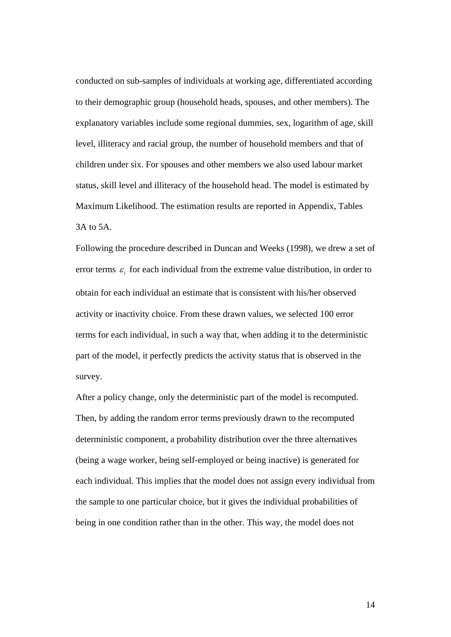conducted on sub-samples of individuals at working age, differentiated according to their demographic group (household heads, spouses, and other members). The explanatory variables include some regional dummies, sex, logarithm of age, skill level, illiteracy and racial group, the number of household members and that of children under six. For spouses and other members we also used labour market status, skill level and illiteracy of the household head. The model is estimated by Maximum Likelihood. The estimation results are reported in Appendix, Tables 3A to 5A.

Following the procedure described in Duncan and Weeks (1998), we drew a set of error terms  $\varepsilon$ , for each individual from the extreme value distribution, in order to obtain for each individual an estimate that is consistent with his/her observed activity or inactivity choice. From these drawn values, we selected 100 error terms for each individual, in such a way that, when adding it to the deterministic part of the model, it perfectly predicts the activity status that is observed in the survey.

After a policy change, only the deterministic part of the model is recomputed. Then, by adding the random error terms previously drawn to the recomputed deterministic component, a probability distribution over the three alternatives (being a wage worker, being self-employed or being inactive) is generated for each individual. This implies that the model does not assign every individual from the sample to one particular choice, but it gives the individual probabilities of being in one condition rather than in the other. This way, the model does not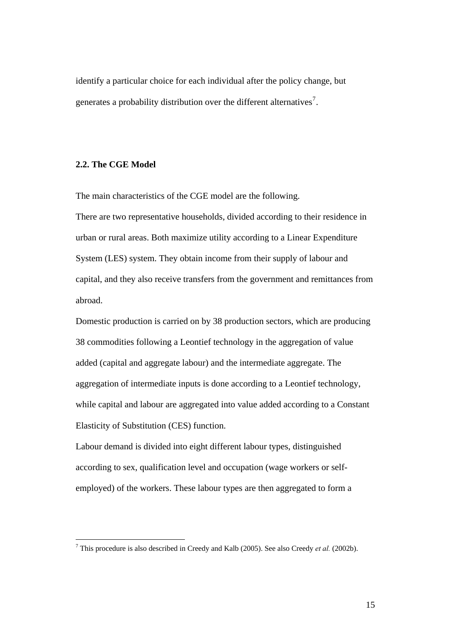identify a particular choice for each individual after the policy change, but generates a probability distribution over the different alternatives<sup>[7](#page-14-0)</sup>.

#### **2.2. The CGE Model**

 $\overline{a}$ 

The main characteristics of the CGE model are the following. There are two representative households, divided according to their residence in urban or rural areas. Both maximize utility according to a Linear Expenditure System (LES) system. They obtain income from their supply of labour and capital, and they also receive transfers from the government and remittances from abroad.

Domestic production is carried on by 38 production sectors, which are producing 38 commodities following a Leontief technology in the aggregation of value added (capital and aggregate labour) and the intermediate aggregate. The aggregation of intermediate inputs is done according to a Leontief technology, while capital and labour are aggregated into value added according to a Constant Elasticity of Substitution (CES) function.

Labour demand is divided into eight different labour types, distinguished according to sex, qualification level and occupation (wage workers or selfemployed) of the workers. These labour types are then aggregated to form a

<span id="page-14-0"></span><sup>7</sup> This procedure is also described in Creedy and Kalb (2005). See also Creedy *et al.* (2002b).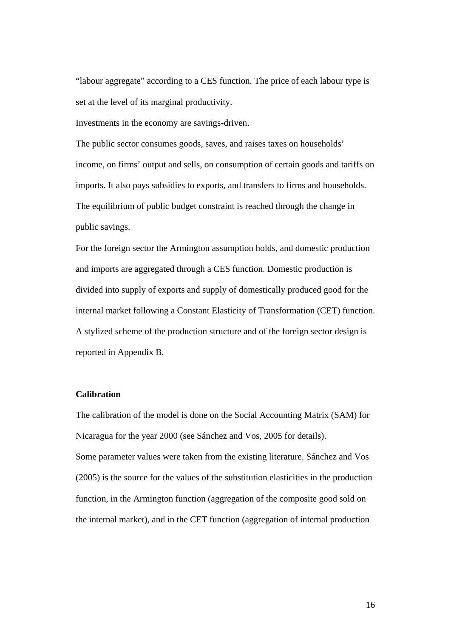"labour aggregate" according to a CES function. The price of each labour type is set at the level of its marginal productivity.

Investments in the economy are savings-driven.

The public sector consumes goods, saves, and raises taxes on households' income, on firms' output and sells, on consumption of certain goods and tariffs on imports. It also pays subsidies to exports, and transfers to firms and households. The equilibrium of public budget constraint is reached through the change in public savings.

For the foreign sector the Armington assumption holds, and domestic production and imports are aggregated through a CES function. Domestic production is divided into supply of exports and supply of domestically produced good for the internal market following a Constant Elasticity of Transformation (CET) function. A stylized scheme of the production structure and of the foreign sector design is reported in Appendix B.

### **Calibration**

The calibration of the model is done on the Social Accounting Matrix (SAM) for Nicaragua for the year 2000 (see Sánchez and Vos, 2005 for details). Some parameter values were taken from the existing literature. Sánchez and Vos (2005) is the source for the values of the substitution elasticities in the production function, in the Armington function (aggregation of the composite good sold on the internal market), and in the CET function (aggregation of internal production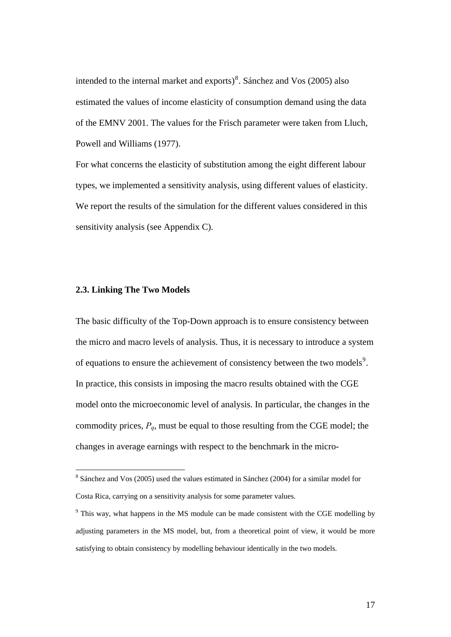intended to the internal market and exports) $8$ . Sánchez and Vos (2005) also estimated the values of income elasticity of consumption demand using the data of the EMNV 2001. The values for the Frisch parameter were taken from Lluch, Powell and Williams (1977).

For what concerns the elasticity of substitution among the eight different labour types, we implemented a sensitivity analysis, using different values of elasticity. We report the results of the simulation for the different values considered in this sensitivity analysis (see Appendix C).

#### **2.3. Linking The Two Models**

The basic difficulty of the Top-Down approach is to ensure consistency between the micro and macro levels of analysis. Thus, it is necessary to introduce a system of equations to ensure the achievement of consistency between the two models<sup>[9](#page-16-1)</sup>. In practice, this consists in imposing the macro results obtained with the CGE model onto the microeconomic level of analysis. In particular, the changes in the commodity prices,  $P_q$ , must be equal to those resulting from the CGE model; the changes in average earnings with respect to the benchmark in the micro-

<span id="page-16-0"></span> 8 Sánchez and Vos (2005) used the values estimated in Sánchez (2004) for a similar model for Costa Rica, carrying on a sensitivity analysis for some parameter values.

<span id="page-16-1"></span><sup>&</sup>lt;sup>9</sup> This way, what happens in the MS module can be made consistent with the CGE modelling by adjusting parameters in the MS model, but, from a theoretical point of view, it would be more satisfying to obtain consistency by modelling behaviour identically in the two models.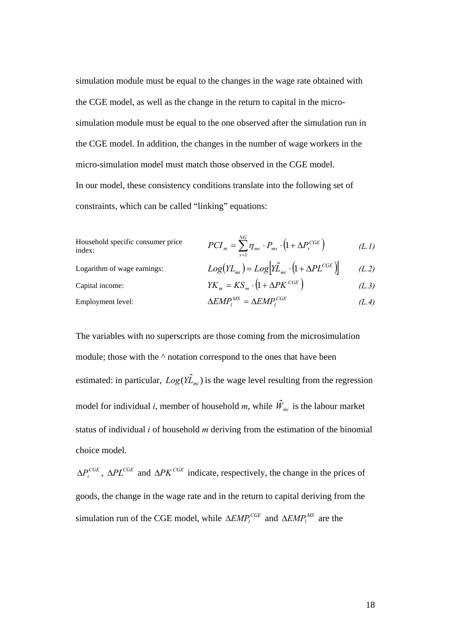simulation module must be equal to the changes in the wage rate obtained with the CGE model, as well as the change in the return to capital in the microsimulation module must be equal to the one observed after the simulation run in the CGE model. In addition, the changes in the number of wage workers in the micro-simulation model must match those observed in the CGE model. In our model, these consistency conditions translate into the following set of constraints, which can be called "linking" equations:

Household specific consumer price 
$$
PCI_m = \sum_{s=1}^{NG} \eta_{ms} \cdot P_{ms} \cdot (1 + \Delta P_s^{CGE})
$$
 (L.1)

Logarithm of wage earnings: Capital income:  $YK_m = KS_m \cdot (1 + \Delta PK^{CGE})$  (L.3)

$$
Log(YL_{mi}) = Log\left[\hat{YL}_{mi} \cdot (1 + \Delta PL^{CGE})\right]
$$
 (L.2)  

$$
VK = KS \cdot (1 + \Delta PL^{CGE})
$$
 (L.3)

$$
\Delta E M P_l^{MS} = \Delta E M P_l^{CGE}
$$
 (L.4)

The variables with no superscripts are those coming from the microsimulation module; those with the  $\land$  notation correspond to the ones that have been estimated: in particular,  $Log(Y\hat{L}_{mi})$  is the wage level resulting from the regression model for individual *i*, member of household *m*, while  $\hat{W}_{mi}$  is the labour market status of individual *i* of household *m* deriving from the estimation of the binomial choice model.

 $\Delta P_s^{CGE}$ ,  $\Delta P L^{CGE}$  and  $\Delta P K^{CGE}$  indicate, respectively, the change in the prices of goods, the change in the wage rate and in the return to capital deriving from the simulation run of the CGE model, while  $\triangle EMP_i^{CGE}$  and  $\triangle EMP_i^{MS}$  are the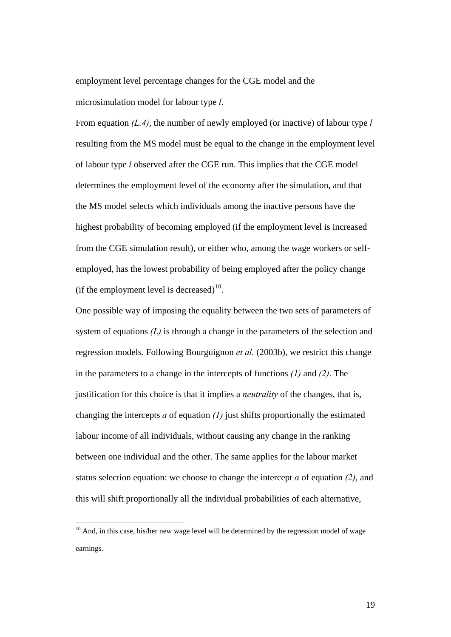employment level percentage changes for the CGE model and the microsimulation model for labour type *l*.

From equation *(L.4)*, the number of newly employed (or inactive) of labour type *l* resulting from the MS model must be equal to the change in the employment level of labour type *l* observed after the CGE run. This implies that the CGE model determines the employment level of the economy after the simulation, and that the MS model selects which individuals among the inactive persons have the highest probability of becoming employed (if the employment level is increased from the CGE simulation result), or either who, among the wage workers or selfemployed, has the lowest probability of being employed after the policy change (if the employment level is decreased) $^{10}$  $^{10}$  $^{10}$ .

One possible way of imposing the equality between the two sets of parameters of system of equations *(L)* is through a change in the parameters of the selection and regression models. Following Bourguignon *et al.* (2003b), we restrict this change in the parameters to a change in the intercepts of functions *(1)* and *(2)*. The justification for this choice is that it implies a *neutrality* of the changes, that is, changing the intercepts *a* of equation *(1)* just shifts proportionally the estimated labour income of all individuals, without causing any change in the ranking between one individual and the other. The same applies for the labour market status selection equation: we choose to change the intercept  $\alpha$  of equation *(2)*, and this will shift proportionally all the individual probabilities of each alternative,

 $\overline{a}$ 

<span id="page-18-0"></span> $10$  And, in this case, his/her new wage level will be determined by the regression model of wage earnings.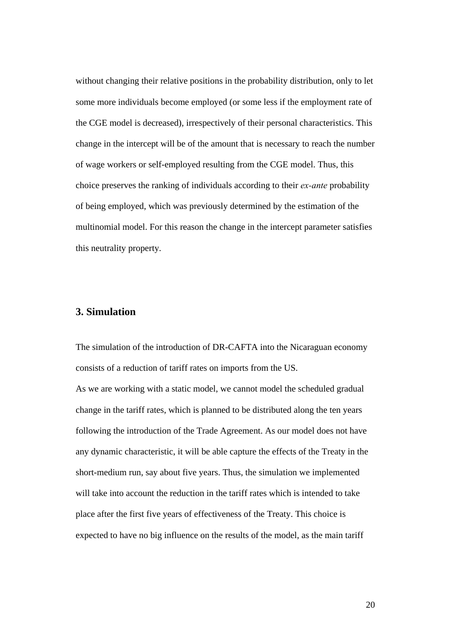without changing their relative positions in the probability distribution, only to let some more individuals become employed (or some less if the employment rate of the CGE model is decreased), irrespectively of their personal characteristics. This change in the intercept will be of the amount that is necessary to reach the number of wage workers or self-employed resulting from the CGE model. Thus, this choice preserves the ranking of individuals according to their *ex-ante* probability of being employed, which was previously determined by the estimation of the multinomial model. For this reason the change in the intercept parameter satisfies this neutrality property.

# **3. Simulation**

The simulation of the introduction of DR-CAFTA into the Nicaraguan economy consists of a reduction of tariff rates on imports from the US.

As we are working with a static model, we cannot model the scheduled gradual change in the tariff rates, which is planned to be distributed along the ten years following the introduction of the Trade Agreement. As our model does not have any dynamic characteristic, it will be able capture the effects of the Treaty in the short-medium run, say about five years. Thus, the simulation we implemented will take into account the reduction in the tariff rates which is intended to take place after the first five years of effectiveness of the Treaty. This choice is expected to have no big influence on the results of the model, as the main tariff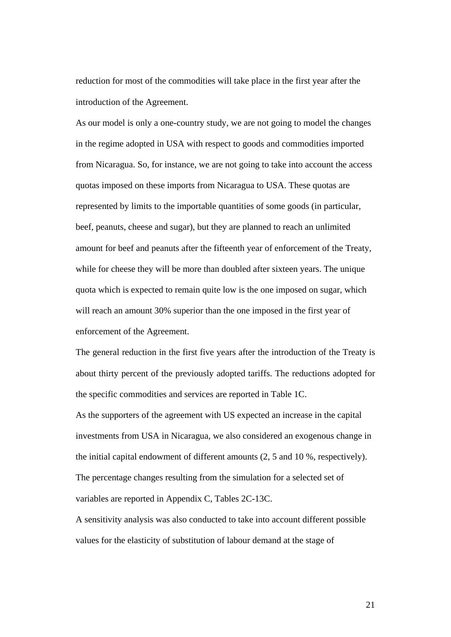reduction for most of the commodities will take place in the first year after the introduction of the Agreement.

As our model is only a one-country study, we are not going to model the changes in the regime adopted in USA with respect to goods and commodities imported from Nicaragua. So, for instance, we are not going to take into account the access quotas imposed on these imports from Nicaragua to USA. These quotas are represented by limits to the importable quantities of some goods (in particular, beef, peanuts, cheese and sugar), but they are planned to reach an unlimited amount for beef and peanuts after the fifteenth year of enforcement of the Treaty, while for cheese they will be more than doubled after sixteen years. The unique quota which is expected to remain quite low is the one imposed on sugar, which will reach an amount 30% superior than the one imposed in the first year of enforcement of the Agreement.

The general reduction in the first five years after the introduction of the Treaty is about thirty percent of the previously adopted tariffs. The reductions adopted for the specific commodities and services are reported in Table 1C. As the supporters of the agreement with US expected an increase in the capital

investments from USA in Nicaragua, we also considered an exogenous change in the initial capital endowment of different amounts (2, 5 and 10 %, respectively). The percentage changes resulting from the simulation for a selected set of variables are reported in Appendix C, Tables 2C-13C.

A sensitivity analysis was also conducted to take into account different possible values for the elasticity of substitution of labour demand at the stage of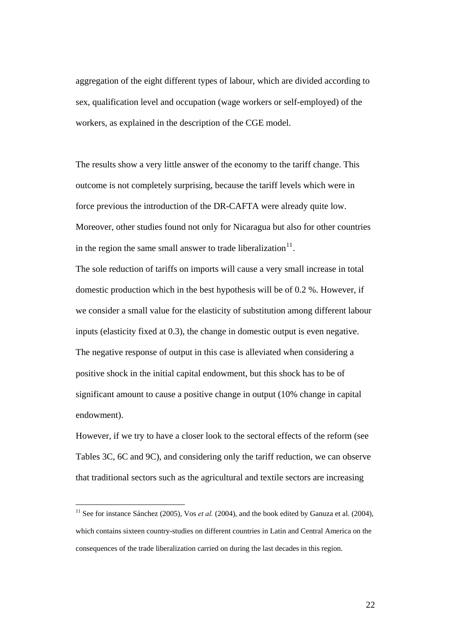aggregation of the eight different types of labour, which are divided according to sex, qualification level and occupation (wage workers or self-employed) of the workers, as explained in the description of the CGE model.

The results show a very little answer of the economy to the tariff change. This outcome is not completely surprising, because the tariff levels which were in force previous the introduction of the DR-CAFTA were already quite low. Moreover, other studies found not only for Nicaragua but also for other countries in the region the same small answer to trade liberalization $11$ .

The sole reduction of tariffs on imports will cause a very small increase in total domestic production which in the best hypothesis will be of 0.2 %. However, if we consider a small value for the elasticity of substitution among different labour inputs (elasticity fixed at 0.3), the change in domestic output is even negative. The negative response of output in this case is alleviated when considering a positive shock in the initial capital endowment, but this shock has to be of significant amount to cause a positive change in output (10% change in capital endowment).

However, if we try to have a closer look to the sectoral effects of the reform (see Tables 3C, 6C and 9C), and considering only the tariff reduction, we can observe that traditional sectors such as the agricultural and textile sectors are increasing

 $\overline{a}$ 

<span id="page-21-0"></span><sup>&</sup>lt;sup>11</sup> See for instance Sánchez (2005), Vos *et al.* (2004), and the book edited by Ganuza et al. (2004), which contains sixteen country-studies on different countries in Latin and Central America on the consequences of the trade liberalization carried on during the last decades in this region.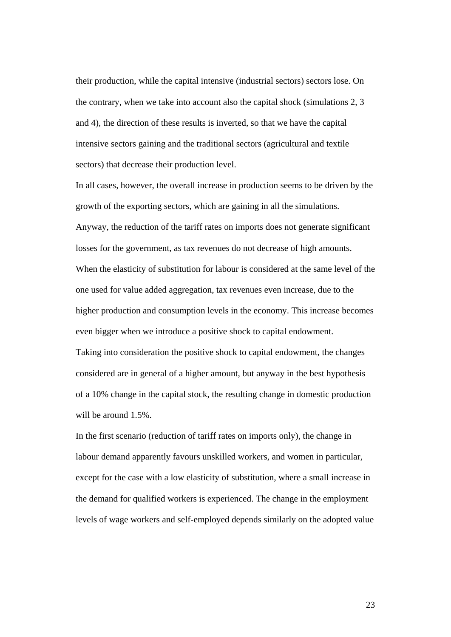their production, while the capital intensive (industrial sectors) sectors lose. On the contrary, when we take into account also the capital shock (simulations 2, 3 and 4), the direction of these results is inverted, so that we have the capital intensive sectors gaining and the traditional sectors (agricultural and textile sectors) that decrease their production level.

In all cases, however, the overall increase in production seems to be driven by the growth of the exporting sectors, which are gaining in all the simulations. Anyway, the reduction of the tariff rates on imports does not generate significant losses for the government, as tax revenues do not decrease of high amounts. When the elasticity of substitution for labour is considered at the same level of the one used for value added aggregation, tax revenues even increase, due to the higher production and consumption levels in the economy. This increase becomes even bigger when we introduce a positive shock to capital endowment.

Taking into consideration the positive shock to capital endowment, the changes considered are in general of a higher amount, but anyway in the best hypothesis of a 10% change in the capital stock, the resulting change in domestic production will be around 1.5%.

In the first scenario (reduction of tariff rates on imports only), the change in labour demand apparently favours unskilled workers, and women in particular, except for the case with a low elasticity of substitution, where a small increase in the demand for qualified workers is experienced. The change in the employment levels of wage workers and self-employed depends similarly on the adopted value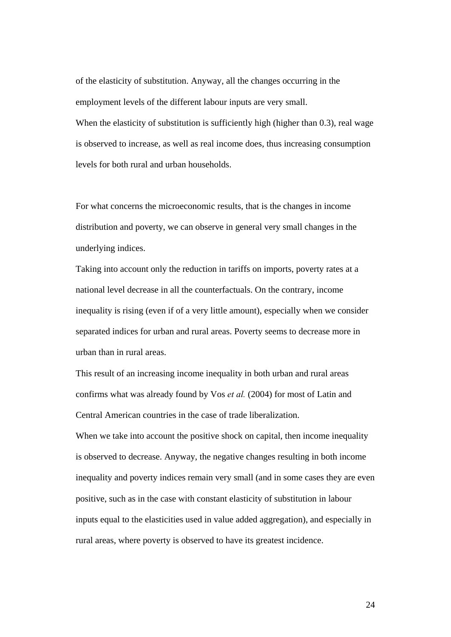of the elasticity of substitution. Anyway, all the changes occurring in the employment levels of the different labour inputs are very small. When the elasticity of substitution is sufficiently high (higher than 0.3), real wage is observed to increase, as well as real income does, thus increasing consumption levels for both rural and urban households.

For what concerns the microeconomic results, that is the changes in income distribution and poverty, we can observe in general very small changes in the underlying indices.

Taking into account only the reduction in tariffs on imports, poverty rates at a national level decrease in all the counterfactuals. On the contrary, income inequality is rising (even if of a very little amount), especially when we consider separated indices for urban and rural areas. Poverty seems to decrease more in urban than in rural areas.

This result of an increasing income inequality in both urban and rural areas confirms what was already found by Vos *et al.* (2004) for most of Latin and Central American countries in the case of trade liberalization.

When we take into account the positive shock on capital, then income inequality is observed to decrease. Anyway, the negative changes resulting in both income inequality and poverty indices remain very small (and in some cases they are even positive, such as in the case with constant elasticity of substitution in labour inputs equal to the elasticities used in value added aggregation), and especially in rural areas, where poverty is observed to have its greatest incidence.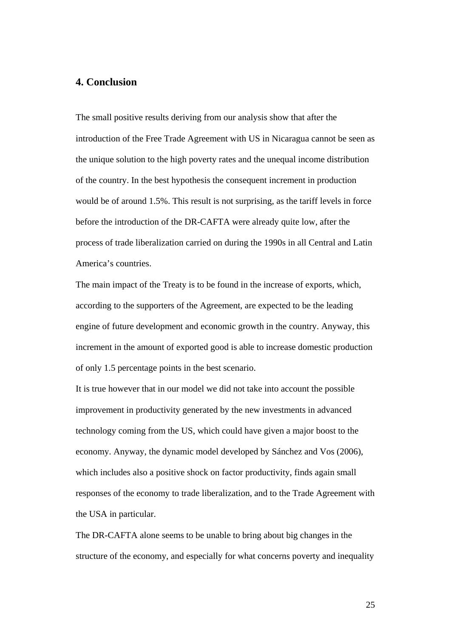# **4. Conclusion**

The small positive results deriving from our analysis show that after the introduction of the Free Trade Agreement with US in Nicaragua cannot be seen as the unique solution to the high poverty rates and the unequal income distribution of the country. In the best hypothesis the consequent increment in production would be of around 1.5%. This result is not surprising, as the tariff levels in force before the introduction of the DR-CAFTA were already quite low, after the process of trade liberalization carried on during the 1990s in all Central and Latin America's countries.

The main impact of the Treaty is to be found in the increase of exports, which, according to the supporters of the Agreement, are expected to be the leading engine of future development and economic growth in the country. Anyway, this increment in the amount of exported good is able to increase domestic production of only 1.5 percentage points in the best scenario.

It is true however that in our model we did not take into account the possible improvement in productivity generated by the new investments in advanced technology coming from the US, which could have given a major boost to the economy. Anyway, the dynamic model developed by Sánchez and Vos (2006), which includes also a positive shock on factor productivity, finds again small responses of the economy to trade liberalization, and to the Trade Agreement with the USA in particular.

The DR-CAFTA alone seems to be unable to bring about big changes in the structure of the economy, and especially for what concerns poverty and inequality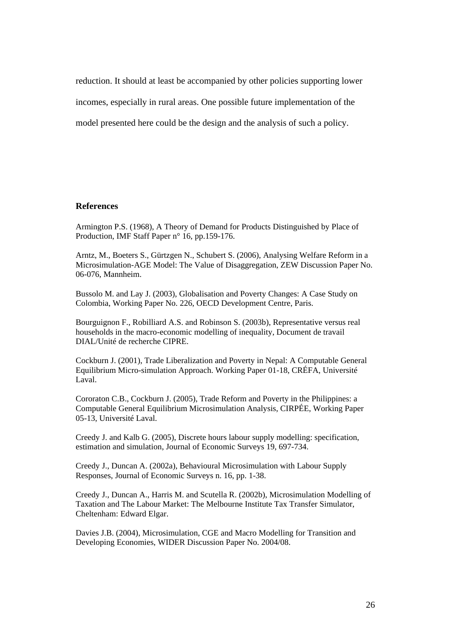reduction. It should at least be accompanied by other policies supporting lower incomes, especially in rural areas. One possible future implementation of the model presented here could be the design and the analysis of such a policy.

#### **References**

Armington P.S. (1968), A Theory of Demand for Products Distinguished by Place of Production, IMF Staff Paper n° 16, pp.159-176.

Arntz, M., Boeters S., Gürtzgen N., Schubert S. (2006), Analysing Welfare Reform in a Microsimulation-AGE Model: The Value of Disaggregation, ZEW Discussion Paper No. 06-076, Mannheim.

Bussolo M. and Lay J. (2003), Globalisation and Poverty Changes: A Case Study on Colombia, Working Paper No. 226, OECD Development Centre, Paris.

Bourguignon F., Robilliard A.S. and Robinson S. (2003b), Representative versus real households in the macro-economic modelling of inequality, Document de travail DIAL/Unité de recherche CIPRE.

Cockburn J. (2001), Trade Liberalization and Poverty in Nepal: A Computable General Equilibrium Micro-simulation Approach. Working Paper 01-18, CRÉFA, Université Laval.

Cororaton C.B., Cockburn J. (2005), Trade Reform and Poverty in the Philippines: a Computable General Equilibrium Microsimulation Analysis, CIRPÉE, Working Paper 05-13, Université Laval.

Creedy J. and Kalb G. (2005), Discrete hours labour supply modelling: specification, estimation and simulation, Journal of Economic Surveys 19, 697-734.

Creedy J., Duncan A. (2002a), Behavioural Microsimulation with Labour Supply Responses, Journal of Economic Surveys n. 16, pp. 1-38.

Creedy J., Duncan A., Harris M. and Scutella R. (2002b), Microsimulation Modelling of Taxation and The Labour Market: The Melbourne Institute Tax Transfer Simulator, Cheltenham: Edward Elgar.

Davies J.B. (2004), Microsimulation, CGE and Macro Modelling for Transition and Developing Economies, WIDER Discussion Paper No. 2004/08.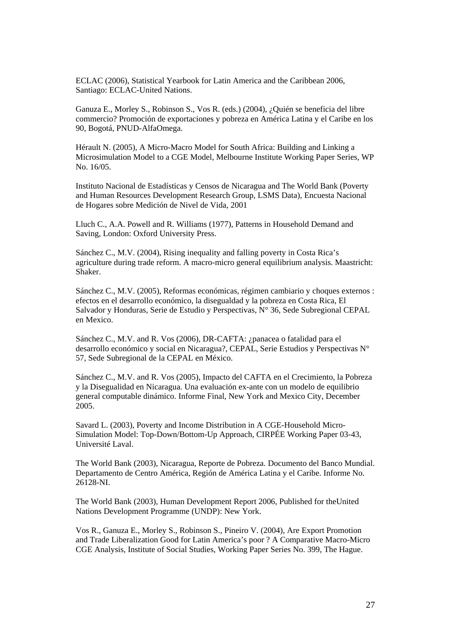ECLAC (2006), Statistical Yearbook for Latin America and the Caribbean 2006, Santiago: ECLAC-United Nations.

Ganuza E., Morley S., Robinson S., Vos R. (eds.) (2004), ¿Quién se beneficia del libre commercio? Promoción de exportaciones y pobreza en América Latina y el Caribe en los 90, Bogotá, PNUD-AlfaOmega.

Hérault N. (2005), A Micro-Macro Model for South Africa: Building and Linking a Microsimulation Model to a CGE Model, Melbourne Institute Working Paper Series, WP No. 16/05.

Instituto Nacional de Estadísticas y Censos de Nicaragua and The World Bank (Poverty and Human Resources Development Research Group, LSMS Data), Encuesta Nacional de Hogares sobre Medición de Nivel de Vida, 2001

Lluch C., A.A. Powell and R. Williams (1977), Patterns in Household Demand and Saving, London: Oxford University Press.

Sánchez C., M.V. (2004), Rising inequality and falling poverty in Costa Rica's agriculture during trade reform. A macro-micro general equilibrium analysis. Maastricht: Shaker.

Sánchez C., M.V. (2005), Reformas económicas, régimen cambiario y choques externos : efectos en el desarrollo económico, la disegualdad y la pobreza en Costa Rica, El Salvador y Honduras, Serie de Estudio y Perspectivas, N° 36, Sede Subregional CEPAL en Mexico.

Sánchez C., M.V. and R. Vos (2006), DR-CAFTA: ¿panacea o fatalidad para el desarrollo económico y social en Nicaragua?, CEPAL, Serie Estudios y Perspectivas N° 57, Sede Subregional de la CEPAL en México.

Sánchez C., M.V. and R. Vos (2005), Impacto del CAFTA en el Crecimiento, la Pobreza y la Disegualidad en Nicaragua. Una evaluación ex-ante con un modelo de equilibrio general computable dinámico. Informe Final, New York and Mexico City, December 2005.

Savard L. (2003), Poverty and Income Distribution in A CGE-Household Micro-Simulation Model: Top-Down/Bottom-Up Approach, CIRPÉE Working Paper 03-43, Université Laval.

The World Bank (2003), Nicaragua, Reporte de Pobreza. Documento del Banco Mundial. Departamento de Centro América, Región de América Latina y el Caribe. Informe No. 26128-NI.

The World Bank (2003), Human Development Report 2006, Published for theUnited Nations Development Programme (UNDP): New York.

Vos R., Ganuza E., Morley S., Robinson S., Pineiro V. (2004), Are Export Promotion and Trade Liberalization Good for Latin America's poor ? A Comparative Macro-Micro CGE Analysis, Institute of Social Studies, Working Paper Series No. 399, The Hague.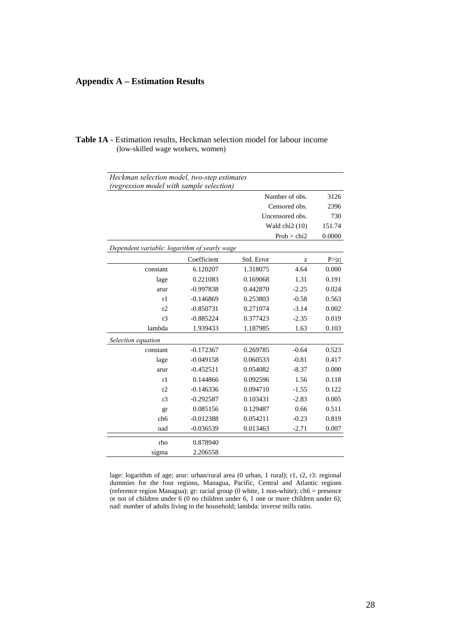# **Appendix A – Estimation Results**

| <b>Table 1A</b> - Estimation results, Heckman selection model for labour income |  |  |
|---------------------------------------------------------------------------------|--|--|
| (low-skilled wage workers, women)                                               |  |  |

| Heckman selection model, two-step estimates  |             |            |                            |        |
|----------------------------------------------|-------------|------------|----------------------------|--------|
| (regression model with sample selection)     |             |            |                            |        |
|                                              |             |            | Number of obs.             | 3126   |
|                                              |             |            | Censored obs.              | 2396   |
|                                              |             |            | Uncensored obs.            | 730    |
|                                              |             |            | Wald chi <sub>2</sub> (10) | 151.74 |
|                                              |             |            | Prob > chi2                | 0.0000 |
| Dependent variable: logarithm of yearly wage |             |            |                            |        |
|                                              | Coefficient | Std. Error | z                          | P >  z |
| constant                                     | 6.120207    | 1.318075   | 4.64                       | 0.000  |
| lage                                         | 0.221083    | 0.169068   | 1.31                       | 0.191  |
| arur                                         | $-0.997838$ | 0.442870   | $-2.25$                    | 0.024  |
| r1                                           | $-0.146869$ | 0.253803   | $-0.58$                    | 0.563  |
| r2                                           | $-0.850731$ | 0.271074   | $-3.14$                    | 0.002  |
| r <sub>3</sub>                               | $-0.885224$ | 0.377423   | $-2.35$                    | 0.019  |
| lambda                                       | 1.939433    | 1.187985   | 1.63                       | 0.103  |
| Selection equation                           |             |            |                            |        |
| constant                                     | $-0.172367$ | 0.269785   | $-0.64$                    | 0.523  |
| lage                                         | $-0.049158$ | 0.060533   | $-0.81$                    | 0.417  |
| arur                                         | $-0.452511$ | 0.054082   | $-8.37$                    | 0.000  |
| r1                                           | 0.144866    | 0.092596   | 1.56                       | 0.118  |
| r2                                           | $-0.146336$ | 0.094710   | $-1.55$                    | 0.122  |
| r <sub>3</sub>                               | $-0.292587$ | 0.103431   | $-2.83$                    | 0.005  |
| gr                                           | 0.085156    | 0.129487   | 0.66                       | 0.511  |
| ch <sub>6</sub>                              | $-0.012388$ | 0.054211   | $-0.23$                    | 0.819  |
| nad                                          | $-0.036539$ | 0.013463   | $-2.71$                    | 0.007  |
| rho                                          | 0.878940    |            |                            |        |
| sigma                                        | 2.206558    |            |                            |        |

lage: logarithm of age; arur: urban/rural area (0 urban, 1 rural); r1, r2, r3: regional dummies for the four regions, Managua, Pacific, Central and Atlantic regions (reference region Managua); gr: racial group (0 white, 1 non-white); ch6 = presence or not of children under 6 (0 no children under 6, 1 one or more children under 6); nad: number of adults living in the household; lambda: inverse mills ratio.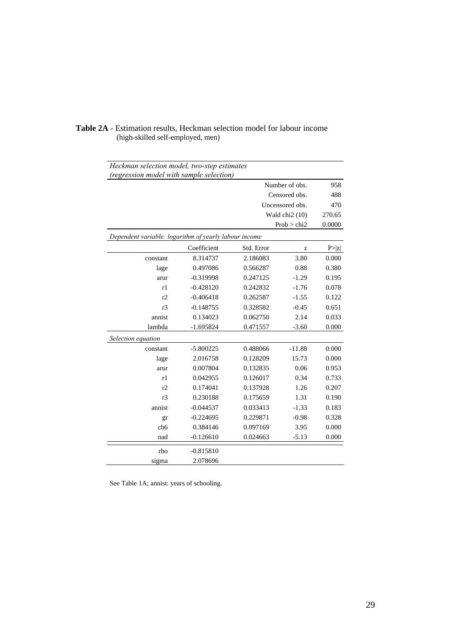| Heckman selection model, two-step estimates           |             |            |                            |        |
|-------------------------------------------------------|-------------|------------|----------------------------|--------|
| (regression model with sample selection)              |             |            |                            |        |
|                                                       |             |            | Number of obs.             | 958    |
|                                                       |             |            | Censored obs.              | 488    |
|                                                       |             |            | Uncensored obs.            | 470    |
|                                                       |             |            | Wald chi <sub>2</sub> (10) | 270.65 |
|                                                       |             |            | Prob > chi2                | 0.0000 |
| Dependent variable: logarithm of yearly labour income |             |            |                            |        |
|                                                       | Coefficient | Std. Error | Z                          | P >  z |
| constant                                              | 8.314737    | 2.186083   | 3.80                       | 0.000  |
| lage                                                  | 0.497086    | 0.566287   | 0.88                       | 0.380  |
| arur                                                  | $-0.319998$ | 0.247125   | $-1.29$                    | 0.195  |
| r1                                                    | $-0.428120$ | 0.242832   | $-1.76$                    | 0.078  |
| r2                                                    | $-0.406418$ | 0.262587   | $-1.55$                    | 0.122  |
| r <sub>3</sub>                                        | $-0.148755$ | 0.328582   | $-0.45$                    | 0.651  |
| annist                                                | 0.134023    | 0.062750   | 2.14                       | 0.033  |
| lambda                                                | $-1.695824$ | 0.471557   | $-3.60$                    | 0.000  |
| Selection equation                                    |             |            |                            |        |
| constant                                              | $-5.800225$ | 0.488066   | $-11.88$                   | 0.000  |
| lage                                                  | 2.016758    | 0.128209   | 15.73                      | 0.000  |
| arur                                                  | 0.007804    | 0.132835   | 0.06                       | 0.953  |
| r1                                                    | 0.042955    | 0.126017   | 0.34                       | 0.733  |
| r2                                                    | 0.174041    | 0.137928   | 1.26                       | 0.207  |
| r <sub>3</sub>                                        | 0.230188    | 0.175659   | 1.31                       | 0.190  |
| annist                                                | $-0.044537$ | 0.033413   | $-1.33$                    | 0.183  |
| gr                                                    | $-0.224695$ | 0.229871   | $-0.98$                    | 0.328  |
| ch6                                                   | 0.384146    | 0.097169   | 3.95                       | 0.000  |
| nad                                                   | $-0.126610$ | 0.024663   | $-5.13$                    | 0.000  |
| rho                                                   | $-0.815810$ |            |                            |        |
| sigma                                                 | 2.078696    |            |                            |        |

#### **Table 2A** - Estimation results, Heckman selection model for labour income (high-skilled self-employed, men)

See Table 1A; annist: years of schooling.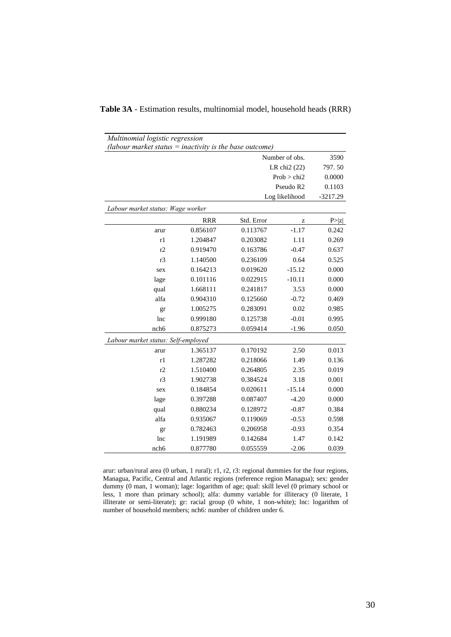| Multinomial logistic regression                                                     |                          |            |                       |            |  |  |
|-------------------------------------------------------------------------------------|--------------------------|------------|-----------------------|------------|--|--|
| (labour market status $=$ inactivity is the base outcome)<br>Number of obs.<br>3590 |                          |            |                       |            |  |  |
|                                                                                     | LR chi <sub>2</sub> (22) | 797.50     |                       |            |  |  |
|                                                                                     |                          |            | Prob > chi2           | 0.0000     |  |  |
|                                                                                     |                          |            | Pseudo R <sub>2</sub> | 0.1103     |  |  |
|                                                                                     |                          |            | Log likelihood        | $-3217.29$ |  |  |
| Labour market status: Wage worker                                                   |                          |            |                       |            |  |  |
|                                                                                     | <b>RRR</b>               | Std. Error | z                     | P >  z     |  |  |
| arur                                                                                | 0.856107                 | 0.113767   | $-1.17$               | 0.242      |  |  |
| r1                                                                                  | 1.204847                 | 0.203082   | 1.11                  | 0.269      |  |  |
| r2                                                                                  | 0.919470                 | 0.163786   | $-0.47$               | 0.637      |  |  |
| r <sub>3</sub>                                                                      | 1.140500                 | 0.236109   | 0.64                  | 0.525      |  |  |
| sex                                                                                 | 0.164213                 | 0.019620   | $-15.12$              | 0.000      |  |  |
| lage                                                                                | 0.101116                 | 0.022915   | $-10.11$              | 0.000      |  |  |
| qual                                                                                | 1.668111                 | 0.241817   | 3.53                  | 0.000      |  |  |
| alfa                                                                                | 0.904310                 | 0.125660   | $-0.72$               | 0.469      |  |  |
| gr                                                                                  | 1.005275                 | 0.283091   | 0.02                  | 0.985      |  |  |
| lnc                                                                                 | 0.999180                 | 0.125738   | $-0.01$               | 0.995      |  |  |
| nch <sub>6</sub>                                                                    | 0.875273                 | 0.059414   | $-1.96$               | 0.050      |  |  |
| Labour market status: Self-employed                                                 |                          |            |                       |            |  |  |
| arur                                                                                | 1.365137                 | 0.170192   | 2.50                  | 0.013      |  |  |
| r1                                                                                  | 1.287282                 | 0.218066   | 1.49                  | 0.136      |  |  |
| r2                                                                                  | 1.510400                 | 0.264805   | 2.35                  | 0.019      |  |  |
| r3                                                                                  | 1.902738                 | 0.384524   | 3.18                  | 0.001      |  |  |
| sex                                                                                 | 0.184854                 | 0.020611   | $-15.14$              | 0.000      |  |  |
| lage                                                                                | 0.397288                 | 0.087407   | $-4.20$               | 0.000      |  |  |
| qual                                                                                | 0.880234                 | 0.128972   | $-0.87$               | 0.384      |  |  |
| alfa                                                                                | 0.935067                 | 0.119069   | $-0.53$               | 0.598      |  |  |
| gr                                                                                  | 0.782463                 | 0.206958   | $-0.93$               | 0.354      |  |  |
| lnc                                                                                 | 1.191989                 | 0.142684   | 1.47                  | 0.142      |  |  |
| nch6                                                                                | 0.877780                 | 0.055559   | $-2.06$               | 0.039      |  |  |

**Table 3A** - Estimation results, multinomial model, household heads (RRR)

arur: urban/rural area (0 urban, 1 rural); r1, r2, r3: regional dummies for the four regions, Managua, Pacific, Central and Atlantic regions (reference region Managua); sex: gender dummy (0 man, 1 woman); lage: logarithm of age; qual: skill level (0 primary school or less, 1 more than primary school); alfa: dummy variable for illiteracy (0 literate, 1 illiterate or semi-literate); gr: racial group (0 white, 1 non-white); lnc: logarithm of number of household members; nch6: number of children under 6.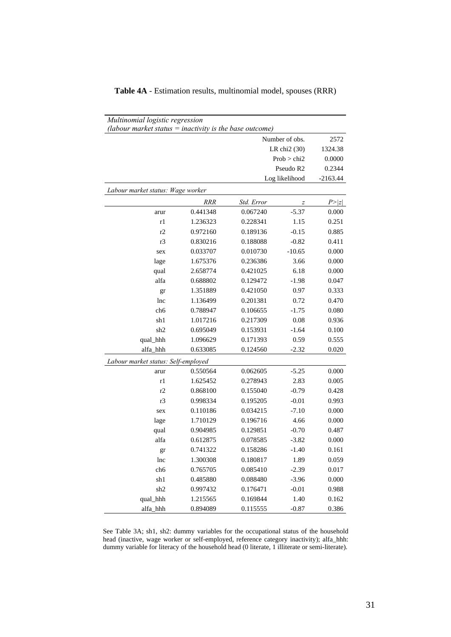| Multinomial logistic regression<br>(labour market status $=$ inactivity is the base outcome) |            |            |                |            |
|----------------------------------------------------------------------------------------------|------------|------------|----------------|------------|
|                                                                                              |            |            | Number of obs. | 2572       |
|                                                                                              |            |            | LR chi2 (30)   | 1324.38    |
|                                                                                              |            |            | Prob > chi2    | 0.0000     |
|                                                                                              |            |            | Pseudo R2      | 0.2344     |
|                                                                                              |            |            | Log likelihood | $-2163.44$ |
| Labour market status: Wage worker                                                            |            |            |                |            |
|                                                                                              | <b>RRR</b> | Std. Error | z              | P >  z     |
| arur                                                                                         | 0.441348   | 0.067240   | $-5.37$        | 0.000      |
| r1                                                                                           | 1.236323   | 0.228341   | 1.15           | 0.251      |
| r2                                                                                           | 0.972160   | 0.189136   | $-0.15$        | 0.885      |
| r3                                                                                           | 0.830216   | 0.188088   | $-0.82$        | 0.411      |
| sex                                                                                          | 0.033707   | 0.010730   | $-10.65$       | 0.000      |
| lage                                                                                         | 1.675376   | 0.236386   | 3.66           | 0.000      |
| qual                                                                                         | 2.658774   | 0.421025   | 6.18           | 0.000      |
| alfa                                                                                         | 0.688802   | 0.129472   | $-1.98$        | 0.047      |
| gr                                                                                           | 1.351889   | 0.421050   | 0.97           | 0.333      |
| lnc                                                                                          | 1.136499   | 0.201381   | 0.72           | 0.470      |
| ch <sub>6</sub>                                                                              | 0.788947   | 0.106655   | $-1.75$        | 0.080      |
| sh1                                                                                          | 1.017216   | 0.217309   | 0.08           | 0.936      |
| sh2                                                                                          | 0.695049   | 0.153931   | $-1.64$        | 0.100      |
| qual_hhh                                                                                     | 1.096629   | 0.171393   | 0.59           | 0.555      |
| alfa_hhh                                                                                     | 0.633085   | 0.124560   | $-2.32$        | 0.020      |
| Labour market status: Self-employed                                                          |            |            |                |            |
| arur                                                                                         | 0.550564   | 0.062605   | $-5.25$        | 0.000      |
| r1                                                                                           | 1.625452   | 0.278943   | 2.83           | 0.005      |
| r2                                                                                           | 0.868100   | 0.155040   | $-0.79$        | 0.428      |
| r3                                                                                           | 0.998334   | 0.195205   | $-0.01$        | 0.993      |
| sex                                                                                          | 0.110186   | 0.034215   | $-7.10$        | 0.000      |
| lage                                                                                         | 1.710129   | 0.196716   | 4.66           | 0.000      |
| qual                                                                                         | 0.904985   | 0.129851   | $-0.70$        | 0.487      |
| alfa                                                                                         | 0.612875   | 0.078585   | $-3.82$        | 0.000      |
| gr                                                                                           | 0.741322   | 0.158286   | $-1.40$        | 0.161      |
| lnc                                                                                          | 1.300308   | 0.180817   | 1.89           | 0.059      |
| ch6                                                                                          | 0.765705   | 0.085410   | $-2.39$        | 0.017      |
| sh1                                                                                          | 0.485880   | 0.088480   | $-3.96$        | 0.000      |
| sh2                                                                                          | 0.997432   | 0.176471   | $-0.01$        | 0.988      |
| qual_hhh                                                                                     | 1.215565   | 0.169844   | 1.40           | 0.162      |
| alfa_hhh                                                                                     | 0.894089   | 0.115555   | $-0.87$        | 0.386      |

|  |  |  | Table 4A - Estimation results, multinomial model, spouses (RRR) |  |  |  |
|--|--|--|-----------------------------------------------------------------|--|--|--|
|--|--|--|-----------------------------------------------------------------|--|--|--|

See Table 3A; sh1, sh2: dummy variables for the occupational status of the household head (inactive, wage worker or self-employed, reference category inactivity); alfa\_hhh: dummy variable for literacy of the household head (0 literate, 1 illiterate or semi-literate).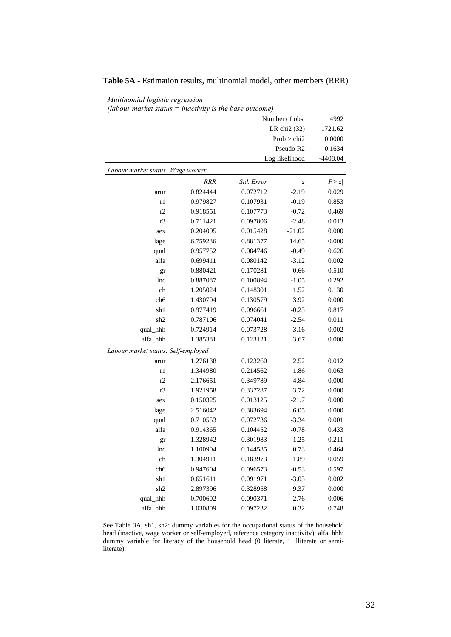| Multinomial logistic regression<br>(labour market status $=$ inactivity is the base outcome) |            |            |                          |            |
|----------------------------------------------------------------------------------------------|------------|------------|--------------------------|------------|
|                                                                                              |            |            | Number of obs.           | 4992       |
|                                                                                              |            |            | LR chi <sub>2</sub> (32) | 1721.62    |
|                                                                                              |            |            | Prob > chi2              | 0.0000     |
|                                                                                              |            |            | Pseudo R2                | 0.1634     |
|                                                                                              |            |            | Log likelihood           | $-4408.04$ |
| Labour market status: Wage worker                                                            |            |            |                          |            |
|                                                                                              | <b>RRR</b> | Std. Error | $\overline{z}$           | P >  z     |
| arur                                                                                         | 0.824444   | 0.072712   | $-2.19$                  | 0.029      |
| r1                                                                                           | 0.979827   | 0.107931   | $-0.19$                  | 0.853      |
| r2                                                                                           | 0.918551   | 0.107773   | $-0.72$                  | 0.469      |
| r <sub>3</sub>                                                                               | 0.711421   | 0.097806   | $-2.48$                  | 0.013      |
| sex                                                                                          | 0.204095   | 0.015428   | $-21.02$                 | 0.000      |
| lage                                                                                         | 6.759236   | 0.881377   | 14.65                    | 0.000      |
| qual                                                                                         | 0.957752   | 0.084746   | $-0.49$                  | 0.626      |
| alfa                                                                                         | 0.699411   | 0.080142   | $-3.12$                  | 0.002      |
| gr                                                                                           | 0.880421   | 0.170281   | $-0.66$                  | 0.510      |
| lnc                                                                                          | 0.887087   | 0.100894   | $-1.05$                  | 0.292      |
| ch                                                                                           | 1.205024   | 0.148301   | 1.52                     | 0.130      |
| ch <sub>6</sub>                                                                              | 1.430704   | 0.130579   | 3.92                     | 0.000      |
| sh1                                                                                          | 0.977419   | 0.096661   | $-0.23$                  | 0.817      |
| sh <sub>2</sub>                                                                              | 0.787106   | 0.074041   | $-2.54$                  | 0.011      |
| qual_hhh                                                                                     | 0.724914   | 0.073728   | $-3.16$                  | 0.002      |
| alfa_hhh                                                                                     | 1.385381   | 0.123121   | 3.67                     | 0.000      |
| Labour market status: Self-employed                                                          |            |            |                          |            |
| arur                                                                                         | 1.276138   | 0.123260   | 2.52                     | 0.012      |
| r1                                                                                           | 1.344980   | 0.214562   | 1.86                     | 0.063      |
| r2                                                                                           | 2.176651   | 0.349789   | 4.84                     | 0.000      |
| r3                                                                                           | 1.921958   | 0.337287   | 3.72                     | 0.000      |
| sex                                                                                          | 0.150325   | 0.013125   | $-21.7$                  | 0.000      |
| lage                                                                                         | 2.516042   | 0.383694   | 6.05                     | 0.000      |
| qual                                                                                         | 0.710553   | 0.072736   | $-3.34$                  | 0.001      |
| alfa                                                                                         | 0.914365   | 0.104452   | $-0.78$                  | 0.433      |
| gr                                                                                           | 1.328942   | 0.301983   | 1.25                     | 0.211      |
| lnc                                                                                          | 1.100904   | 0.144585   | 0.73                     | 0.464      |
| ch                                                                                           | 1.304911   | 0.183973   | 1.89                     | 0.059      |
| ch6                                                                                          | 0.947604   | 0.096573   | $-0.53$                  | 0.597      |
| sh1                                                                                          | 0.651611   | 0.091971   | $-3.03$                  | 0.002      |
| sh2                                                                                          | 2.897396   | 0.328958   | 9.37                     | 0.000      |
| qual_hhh                                                                                     | 0.700602   | 0.090371   | $-2.76$                  | 0.006      |
| alfa_hhh                                                                                     | 1.030809   | 0.097232   | 0.32                     | 0.748      |

**Table 5A** - Estimation results, multinomial model, other members (RRR)

See Table 3A; sh1, sh2: dummy variables for the occupational status of the household head (inactive, wage worker or self-employed, reference category inactivity); alfa\_hhh: dummy variable for literacy of the household head (0 literate, 1 illiterate or semiliterate).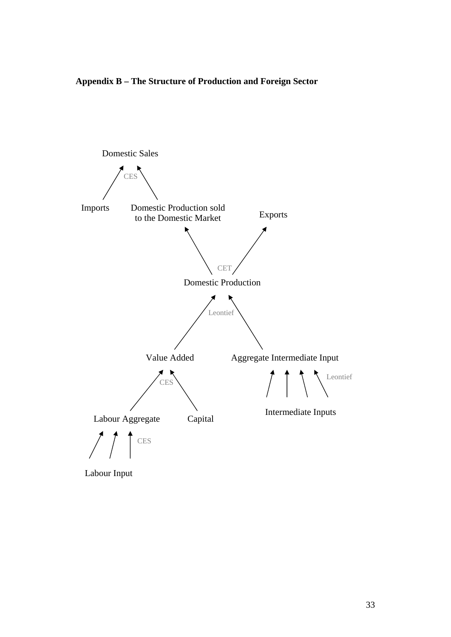**Appendix B – The Structure of Production and Foreign Sector** 



Labour Input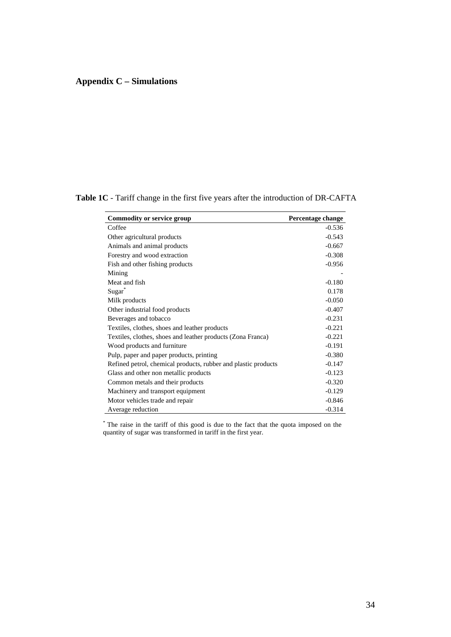# **Appendix C – Simulations**

| <b>Commodity or service group</b>                              | Percentage change |
|----------------------------------------------------------------|-------------------|
| Coffee                                                         | $-0.536$          |
| Other agricultural products                                    | $-0.543$          |
| Animals and animal products                                    | $-0.667$          |
| Forestry and wood extraction                                   | $-0.308$          |
| Fish and other fishing products                                | $-0.956$          |
| Mining                                                         |                   |
| Meat and fish                                                  | $-0.180$          |
| Sugar <sup>"</sup>                                             | 0.178             |
| Milk products                                                  | $-0.050$          |
| Other industrial food products                                 | $-0.407$          |
| Beverages and tobacco                                          | $-0.231$          |
| Textiles, clothes, shoes and leather products                  | $-0.221$          |
| Textiles, clothes, shoes and leather products (Zona Franca)    | $-0.221$          |
| Wood products and furniture                                    | $-0.191$          |
| Pulp, paper and paper products, printing                       | $-0.380$          |
| Refined petrol, chemical products, rubber and plastic products | $-0.147$          |
| Glass and other non metallic products                          | $-0.123$          |
| Common metals and their products                               | $-0.320$          |
| Machinery and transport equipment                              | $-0.129$          |
| Motor vehicles trade and repair                                | $-0.846$          |
| Average reduction                                              | $-0.314$          |

**Table 1C** - Tariff change in the first five years after the introduction of DR-CAFTA

\* The raise in the tariff of this good is due to the fact that the quota imposed on the quantity of sugar was transformed in tariff in the first year.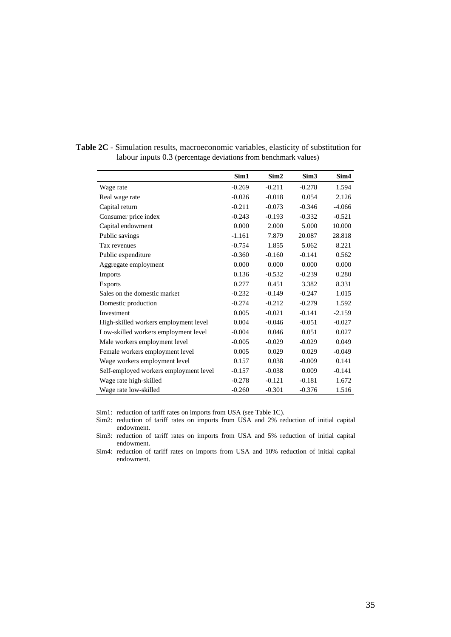|                                        | Sim1     | Sim <sub>2</sub> | Sim <sub>3</sub> | Sim4     |
|----------------------------------------|----------|------------------|------------------|----------|
| Wage rate                              | $-0.269$ | $-0.211$         | $-0.278$         | 1.594    |
| Real wage rate                         | $-0.026$ | $-0.018$         | 0.054            | 2.126    |
| Capital return                         | $-0.211$ | $-0.073$         | $-0.346$         | $-4.066$ |
| Consumer price index                   | $-0.243$ | $-0.193$         | $-0.332$         | $-0.521$ |
| Capital endowment                      | 0.000    | 2.000            | 5.000            | 10.000   |
| Public savings                         | $-1.161$ | 7.879            | 20.087           | 28.818   |
| Tax revenues                           | $-0.754$ | 1.855            | 5.062            | 8.221    |
| Public expenditure                     | $-0.360$ | $-0.160$         | $-0.141$         | 0.562    |
| Aggregate employment                   | 0.000    | 0.000            | 0.000            | 0.000    |
| Imports                                | 0.136    | $-0.532$         | $-0.239$         | 0.280    |
| <b>Exports</b>                         | 0.277    | 0.451            | 3.382            | 8.331    |
| Sales on the domestic market           | $-0.232$ | $-0.149$         | $-0.247$         | 1.015    |
| Domestic production                    | $-0.274$ | $-0.212$         | $-0.279$         | 1.592    |
| Investment                             | 0.005    | $-0.021$         | $-0.141$         | $-2.159$ |
| High-skilled workers employment level  | 0.004    | $-0.046$         | $-0.051$         | $-0.027$ |
| Low-skilled workers employment level   | $-0.004$ | 0.046            | 0.051            | 0.027    |
| Male workers employment level          | $-0.005$ | $-0.029$         | $-0.029$         | 0.049    |
| Female workers employment level        | 0.005    | 0.029            | 0.029            | $-0.049$ |
| Wage workers employment level          | 0.157    | 0.038            | $-0.009$         | 0.141    |
| Self-employed workers employment level | $-0.157$ | $-0.038$         | 0.009            | $-0.141$ |
| Wage rate high-skilled                 | $-0.278$ | $-0.121$         | $-0.181$         | 1.672    |
| Wage rate low-skilled                  | $-0.260$ | $-0.301$         | $-0.376$         | 1.516    |

**Table 2C** - Simulation results, macroeconomic variables, elasticity of substitution for labour inputs 0.3 (percentage deviations from benchmark values)

Sim1: reduction of tariff rates on imports from USA (see Table 1C).

Sim2: reduction of tariff rates on imports from USA and 2% reduction of initial capital endowment.

Sim3: reduction of tariff rates on imports from USA and 5% reduction of initial capital endowment.

Sim4: reduction of tariff rates on imports from USA and 10% reduction of initial capital endowment.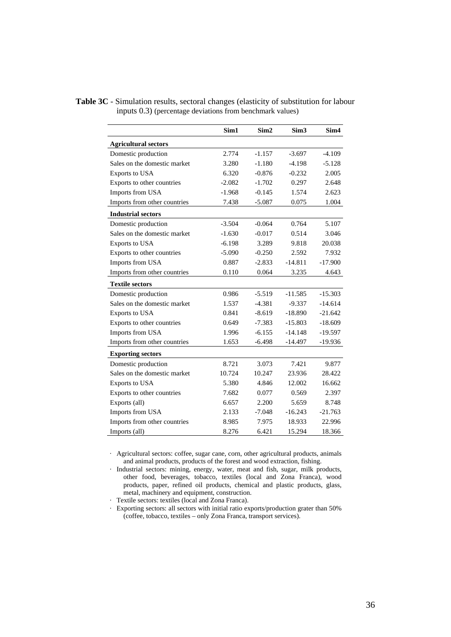|                              | Sim1     | Sim <sub>2</sub> | Sim <sub>3</sub> | Sim <sub>4</sub> |
|------------------------------|----------|------------------|------------------|------------------|
| <b>Agricultural sectors</b>  |          |                  |                  |                  |
| Domestic production          | 2.774    | $-1.157$         | $-3.697$         | $-4.109$         |
| Sales on the domestic market | 3.280    | $-1.180$         | $-4.198$         | $-5.128$         |
| Exports to USA               | 6.320    | $-0.876$         | $-0.232$         | 2.005            |
| Exports to other countries   | $-2.082$ | $-1.702$         | 0.297            | 2.648            |
| Imports from USA             | $-1.968$ | $-0.145$         | 1.574            | 2.623            |
| Imports from other countries | 7.438    | $-5.087$         | 0.075            | 1.004            |
| <b>Industrial sectors</b>    |          |                  |                  |                  |
| Domestic production          | $-3.504$ | $-0.064$         | 0.764            | 5.107            |
| Sales on the domestic market | $-1.630$ | $-0.017$         | 0.514            | 3.046            |
| Exports to USA               | $-6.198$ | 3.289            | 9.818            | 20.038           |
| Exports to other countries   | $-5.090$ | $-0.250$         | 2.592            | 7.932            |
| Imports from USA             | 0.887    | $-2.833$         | $-14.811$        | $-17.900$        |
| Imports from other countries | 0.110    | 0.064            | 3.235            | 4.643            |
| <b>Textile sectors</b>       |          |                  |                  |                  |
| Domestic production          | 0.986    | $-5.519$         | $-11.585$        | $-15.303$        |
| Sales on the domestic market | 1.537    | $-4.381$         | $-9.337$         | $-14.614$        |
| Exports to USA               | 0.841    | $-8.619$         | $-18.890$        | $-21.642$        |
| Exports to other countries   | 0.649    | $-7.383$         | $-15.803$        | $-18.609$        |
| Imports from USA             | 1.996    | $-6.155$         | $-14.148$        | $-19.597$        |
| Imports from other countries | 1.653    | $-6.498$         | $-14.497$        | $-19.936$        |
| <b>Exporting sectors</b>     |          |                  |                  |                  |
| Domestic production          | 8.721    | 3.073            | 7.421            | 9.877            |
| Sales on the domestic market | 10.724   | 10.247           | 23.936           | 28.422           |
| Exports to USA               | 5.380    | 4.846            | 12.002           | 16.662           |
| Exports to other countries   | 7.682    | 0.077            | 0.569            | 2.397            |
| Exports (all)                | 6.657    | 2.200            | 5.659            | 8.748            |
| Imports from USA             | 2.133    | $-7.048$         | $-16.243$        | $-21.763$        |
| Imports from other countries | 8.985    | 7.975            | 18.933           | 22.996           |
| Imports (all)                | 8.276    | 6.421            | 15.294           | 18.366           |

**Table 3C** - Simulation results, sectoral changes (elasticity of substitution for labour inputs 0.3) (percentage deviations from benchmark values)

· Agricultural sectors: coffee, sugar cane, corn, other agricultural products, animals and animal products, products of the forest and wood extraction, fishing.

· Industrial sectors: mining, energy, water, meat and fish, sugar, milk products, other food, beverages, tobacco, textiles (local and Zona Franca), wood products, paper, refined oil products, chemical and plastic products, glass, metal, machinery and equipment, construction.

· Textile sectors: textiles (local and Zona Franca).

· Exporting sectors: all sectors with initial ratio exports/production grater than 50% (coffee, tobacco, textiles – only Zona Franca, transport services).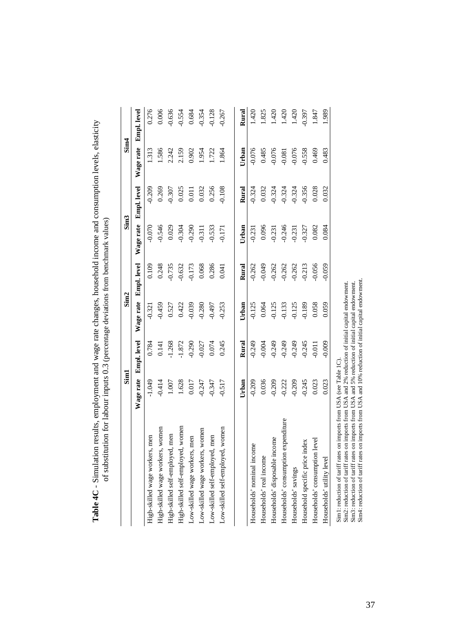|                                                                                                                                                                                                                                                                                                                                                                                      | Sim1      |                    |           | Sim <sub>2</sub> |           | Sim <sub>3</sub>   | Sim <sub>4</sub> |             |
|--------------------------------------------------------------------------------------------------------------------------------------------------------------------------------------------------------------------------------------------------------------------------------------------------------------------------------------------------------------------------------------|-----------|--------------------|-----------|------------------|-----------|--------------------|------------------|-------------|
|                                                                                                                                                                                                                                                                                                                                                                                      | Wage rate | <b>Empl.</b> level | Wage rate | Empl. level      | Wage rate | <b>Empl.</b> level | Wage rate        | Empl. level |
| High-skilled wage workers, men                                                                                                                                                                                                                                                                                                                                                       | $-1.049$  | 0.784              | 0.321     | 0.109            | 0.070     | 0.209              | 1.313            | 0.276       |
| women<br>High-skilled wage workers,                                                                                                                                                                                                                                                                                                                                                  | $-0.414$  | 0.141              | $-0.459$  | 0.248            | 0.546     | 0.269              | 1.586            | 0.006       |
| men<br>High-skilled self-employed,                                                                                                                                                                                                                                                                                                                                                   | $1.007\,$ | 1.268              | 0.527     | 0.735            | 0.029     | 0.307              | 2.242            | 0.636       |
| women<br>High-skilled self-employed,                                                                                                                                                                                                                                                                                                                                                 | 1.628     | $-1.872$           | 0.422     | $-0.632$         | 0.304     | 0.025              | 2.159            | $-0.554$    |
| Low-skilled wage workers, men                                                                                                                                                                                                                                                                                                                                                        | 0.017     | 0.290              | 0.039     | -0.173           | 0.290     | 0.011              | 0.902            | 0.684       |
| Low-skilled wage workers, women                                                                                                                                                                                                                                                                                                                                                      | $-0.247$  | 0.027              | $-0.280$  | 0.068            | 0.311     | 0.032              | 1.954            | $-0.354$    |
| Low-skilled self-employed, men                                                                                                                                                                                                                                                                                                                                                       | 0.347     | 0.074              | 0.497     | 0.286            | 0.533     | 0.256              | 1.722            | $-0.128$    |
| women<br>Low-skilled self-employed,                                                                                                                                                                                                                                                                                                                                                  | $-0.517$  | 0.245              | $-0.253$  | 0.041            | $-0.171$  | $-0.108$           | 1.864            | 0.267       |
|                                                                                                                                                                                                                                                                                                                                                                                      | Urban     | Rural              | Urban     | Rural            | Urban     | Rural              | Urban            | Rural       |
| Households' nominal income                                                                                                                                                                                                                                                                                                                                                           | $-0.209$  | $-0.249$           | $-0.125$  | $-0.262$         | $-0.231$  | $-0.324$           | $-0.076$         | 1.420       |
| Households' real income                                                                                                                                                                                                                                                                                                                                                              | 0.036     | $-0.004$           | 0.064     | 0.049            | 0.096     | 0.032              | 0.485            | 1.825       |
| Households' disposable income                                                                                                                                                                                                                                                                                                                                                        | $-0.209$  | $-0.249$           | $-0.125$  | $-0.262$         | 0.231     | 0.324              | 0.076            | 1.420       |
| Households' consumption expenditure                                                                                                                                                                                                                                                                                                                                                  | $-0.222$  | $-0.249$           | $-0.133$  | $-0.262$         | $-0.246$  | $-0.324$           | 0.081            | 1.420       |
| Households' savings                                                                                                                                                                                                                                                                                                                                                                  | 0.209     | 0.249              | 0.125     | $-0.262$         | 0.231     | 0.324              | 0.076            | 1.420       |
| Household specific price index                                                                                                                                                                                                                                                                                                                                                       | $-0.245$  | 0.245              | 0.189     | $-0.213$         | 0.327     | $-0.356$           | $-0.558$         | 0.397       |
| Households' consumption level                                                                                                                                                                                                                                                                                                                                                        | 0.023     | 0.011              | 0.058     | 0.056            | 0.082     | 0.028              | 0.469            | 1.847       |
| Households' utility level                                                                                                                                                                                                                                                                                                                                                            | 0.023     | $-0.009$           | 0.059     | 0.059            | 0.084     | 0.032              | 0.483            | 1.989       |
| Sim4: reduction of tariff rates on imports from USA and 10% reduction of initial capital endowment<br>Sim2: reduction of tariff rates on imports from USA and 2% reduction of initial capital endowment.<br>Sim3: reduction of tariff rates on imports from USA and 5% reduction of initial capital endowment.<br>Sim1: reduction of tariff rates on imports from USA (see Table 1C) |           |                    |           |                  |           |                    |                  |             |

Table 4C - Simulation results, employment and wage rate changes, household income and consumption levels, elasticity<br>of substitution for labour innuts 0.3 (percentage deviations from benchmark values) - Simulation results, employment and wage rate changes, household income and consumption levels, elasticity of substitution for labour inputs 0.3 (percentage deviations from benchmark values) **Table 4C**

37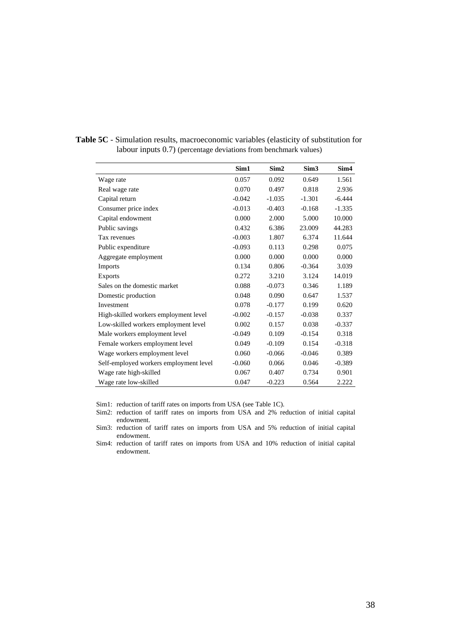|                                        | Sim1     | Sim <sub>2</sub> | Sim <sub>3</sub> | Sim4     |
|----------------------------------------|----------|------------------|------------------|----------|
| Wage rate                              | 0.057    | 0.092            | 0.649            | 1.561    |
| Real wage rate                         | 0.070    | 0.497            | 0.818            | 2.936    |
| Capital return                         | $-0.042$ | $-1.035$         | $-1.301$         | $-6.444$ |
| Consumer price index                   | $-0.013$ | $-0.403$         | $-0.168$         | $-1.335$ |
| Capital endowment                      | 0.000    | 2.000            | 5.000            | 10.000   |
| Public savings                         | 0.432    | 6.386            | 23.009           | 44.283   |
| Tax revenues                           | $-0.003$ | 1.807            | 6.374            | 11.644   |
| Public expenditure                     | $-0.093$ | 0.113            | 0.298            | 0.075    |
| Aggregate employment                   | 0.000    | 0.000            | 0.000            | 0.000    |
| <b>Imports</b>                         | 0.134    | 0.806            | $-0.364$         | 3.039    |
| <b>Exports</b>                         | 0.272    | 3.210            | 3.124            | 14.019   |
| Sales on the domestic market           | 0.088    | $-0.073$         | 0.346            | 1.189    |
| Domestic production                    | 0.048    | 0.090            | 0.647            | 1.537    |
| Investment                             | 0.078    | $-0.177$         | 0.199            | 0.620    |
| High-skilled workers employment level  | $-0.002$ | $-0.157$         | $-0.038$         | 0.337    |
| Low-skilled workers employment level   | 0.002    | 0.157            | 0.038            | $-0.337$ |
| Male workers employment level          | $-0.049$ | 0.109            | $-0.154$         | 0.318    |
| Female workers employment level        | 0.049    | $-0.109$         | 0.154            | $-0.318$ |
| Wage workers employment level          | 0.060    | $-0.066$         | $-0.046$         | 0.389    |
| Self-employed workers employment level | $-0.060$ | 0.066            | 0.046            | $-0.389$ |
| Wage rate high-skilled                 | 0.067    | 0.407            | 0.734            | 0.901    |
| Wage rate low-skilled                  | 0.047    | $-0.223$         | 0.564            | 2.222    |

**Table 5C** - Simulation results, macroeconomic variables (elasticity of substitution for labour inputs 0.7) (percentage deviations from benchmark values)

Sim1: reduction of tariff rates on imports from USA (see Table 1C).

Sim3: reduction of tariff rates on imports from USA and 5% reduction of initial capital endowment.

Sim4: reduction of tariff rates on imports from USA and 10% reduction of initial capital endowment.

Sim2: reduction of tariff rates on imports from USA and 2% reduction of initial capital endowment.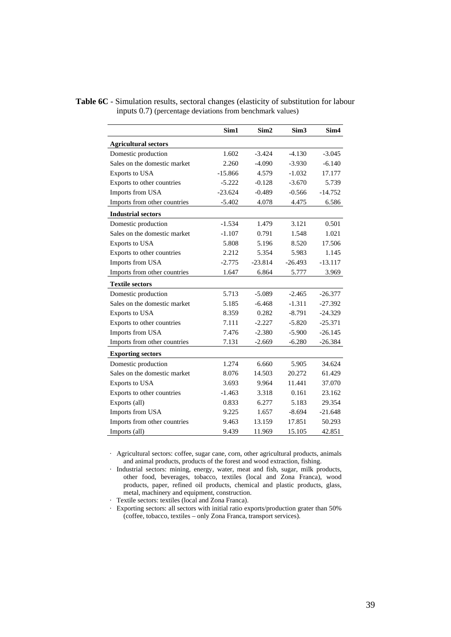|                              | Sim1      | Sim <sub>2</sub> | Sim <sub>3</sub> | Sim <sub>4</sub> |
|------------------------------|-----------|------------------|------------------|------------------|
| <b>Agricultural sectors</b>  |           |                  |                  |                  |
| Domestic production          | 1.602     | $-3.424$         | $-4.130$         | $-3.045$         |
| Sales on the domestic market | 2.260     | $-4.090$         | $-3.930$         | $-6.140$         |
| Exports to USA               | $-15.866$ | 4.579            | $-1.032$         | 17.177           |
| Exports to other countries   | $-5.222$  | $-0.128$         | $-3.670$         | 5.739            |
| Imports from USA             | $-23.624$ | $-0.489$         | $-0.566$         | $-14.752$        |
| Imports from other countries | $-5.402$  | 4.078            | 4.475            | 6.586            |
| <b>Industrial sectors</b>    |           |                  |                  |                  |
| Domestic production          | $-1.534$  | 1.479            | 3.121            | 0.501            |
| Sales on the domestic market | $-1.107$  | 0.791            | 1.548            | 1.021            |
| <b>Exports to USA</b>        | 5.808     | 5.196            | 8.520            | 17.506           |
| Exports to other countries   | 2.212     | 5.354            | 5.983            | 1.145            |
| Imports from USA             | $-2.775$  | $-23.814$        | $-26.493$        | $-13.117$        |
| Imports from other countries | 1.647     | 6.864            | 5.777            | 3.969            |
| <b>Textile sectors</b>       |           |                  |                  |                  |
| Domestic production          | 5.713     | $-5.089$         | $-2.465$         | $-26.377$        |
| Sales on the domestic market | 5.185     | $-6.468$         | $-1.311$         | $-27.392$        |
| Exports to USA               | 8.359     | 0.282            | $-8.791$         | $-24.329$        |
| Exports to other countries   | 7.111     | $-2.227$         | $-5.820$         | $-25.371$        |
| Imports from USA             | 7.476     | $-2.380$         | $-5.900$         | $-26.145$        |
| Imports from other countries | 7.131     | $-2.669$         | $-6.280$         | $-26.384$        |
| <b>Exporting sectors</b>     |           |                  |                  |                  |
| Domestic production          | 1.274     | 6.660            | 5.905            | 34.624           |
| Sales on the domestic market | 8.076     | 14.503           | 20.272           | 61.429           |
| <b>Exports to USA</b>        | 3.693     | 9.964            | 11.441           | 37.070           |
| Exports to other countries   | $-1.463$  | 3.318            | 0.161            | 23.162           |
| Exports (all)                | 0.833     | 6.277            | 5.183            | 29.354           |
| Imports from USA             | 9.225     | 1.657            | $-8.694$         | $-21.648$        |
| Imports from other countries | 9.463     | 13.159           | 17.851           | 50.293           |
| Imports (all)                | 9.439     | 11.969           | 15.105           | 42.851           |

**Table 6C** - Simulation results, sectoral changes (elasticity of substitution for labour inputs 0.7) (percentage deviations from benchmark values)

· Agricultural sectors: coffee, sugar cane, corn, other agricultural products, animals and animal products, products of the forest and wood extraction, fishing.

· Industrial sectors: mining, energy, water, meat and fish, sugar, milk products, other food, beverages, tobacco, textiles (local and Zona Franca), wood products, paper, refined oil products, chemical and plastic products, glass, metal, machinery and equipment, construction.

· Textile sectors: textiles (local and Zona Franca).

· Exporting sectors: all sectors with initial ratio exports/production grater than 50% (coffee, tobacco, textiles – only Zona Franca, transport services).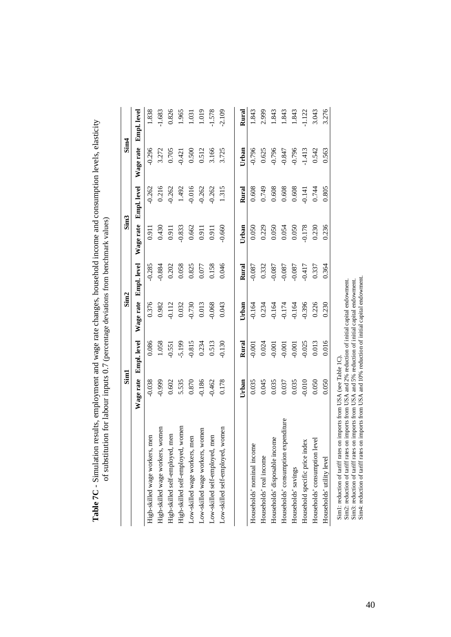| Wage rate<br>$-0.038$<br>$-0.999$<br>$-0.186$<br>0.602<br>5.535<br>$0.870\,$<br>$-0.462$<br>women<br>women<br>Low-skilled wage workers, women<br>men<br>men<br>men<br>men<br>High-skilled self-employed,<br>High-skilled wage workers,<br>High-skilled wage workers,<br>High-skilled self-employed,<br>Low-skilled wage workers,<br>Low-skilled self-employed, |                    |           | Sim <sub>2</sub>   |           | Sim <sub>3</sub>   | Sim <sub>4</sub> |                    |
|----------------------------------------------------------------------------------------------------------------------------------------------------------------------------------------------------------------------------------------------------------------------------------------------------------------------------------------------------------------|--------------------|-----------|--------------------|-----------|--------------------|------------------|--------------------|
|                                                                                                                                                                                                                                                                                                                                                                | <b>Empl.</b> level | Wage rate | <b>Empl.</b> level | Wage rate | <b>Empl.</b> level | Wage rate        | <b>Empl.</b> level |
|                                                                                                                                                                                                                                                                                                                                                                | 0.086              | 0.376     | $-0.285$           | 0.911     | $-0.262$           | $-0.296$         | 1.838              |
|                                                                                                                                                                                                                                                                                                                                                                | 1.058              | 0.982     | $-0.884$           | 0.430     | 0.216              | 3.272            | $-1.683$           |
|                                                                                                                                                                                                                                                                                                                                                                | 0.551              | 0.112     | 0.202              | 0.911     | 0.262              | 0.705            | 0.826              |
|                                                                                                                                                                                                                                                                                                                                                                | 5.199              | 0.032     | 0.058              | $-0.833$  | 1.492              | $-0.421$         | 1.965              |
|                                                                                                                                                                                                                                                                                                                                                                | $-0.815$           | 0.730     | 0.825              | 0.662     | 0.016              | 0.500            | 1.031              |
|                                                                                                                                                                                                                                                                                                                                                                | 0.234              | 0.013     | 0.077              | 0.911     | 0.262              | 0.512            | 1.019              |
|                                                                                                                                                                                                                                                                                                                                                                | 0.513              | 0.068     | 0.158              | 0.911     | $-0.262$           | 3.166            | 1.578              |
| 0.178<br>women<br>Low-skilled self-employed,                                                                                                                                                                                                                                                                                                                   | $-0.130$           | 0.043     | 0.046              | $-0.660$  | 1.315              | 3.725            | $-2.109$           |
| Urban                                                                                                                                                                                                                                                                                                                                                          | Rural              | Urban     | Rural              | Urban     | Rural              | Urban            | Rural              |
| 0.035<br>Households' nominal income                                                                                                                                                                                                                                                                                                                            | $-0.001$           | $-0.164$  | $-0.087$           | 0.050     | 0.608              | $-0.796$         | 1.843              |
| 0.045<br>Households' real income                                                                                                                                                                                                                                                                                                                               | 0.024              | 0.234     | 0.332              | 0.229     | 0.749              | 0.625            | 2.999              |
| 0.035<br>Households' disposable income                                                                                                                                                                                                                                                                                                                         | $-0.001$           | $-0.164$  | $-0.087$           | 0.050     | 0.608              | $-0.796$         | 1.843              |
| 0.037<br>Households' consumption expenditure                                                                                                                                                                                                                                                                                                                   | $-0.001$           | $-0.174$  | $-0.087$           | 0.054     | 0.608              | $-0.847$         | 1.843              |
| 0.035<br>Households' savings                                                                                                                                                                                                                                                                                                                                   | $-0.001$           | $-0.164$  | $-0.087$           | 0.050     | 0.608              | $-0.796$         | 1.843              |
| $-0.010$<br>ΙěΧ<br>Household specific price ind                                                                                                                                                                                                                                                                                                                | $-0.025$           | $-0.396$  | $-0.417$           | 0.178     | $-0.141$           | $-1.413$         | 1.122              |
| 0.050<br>Households' consumption level                                                                                                                                                                                                                                                                                                                         | 0.013              | 0.226     | 0.337              | 0.230     | 0.744              | 0.542            | 3.043              |
| 0.050<br>Households' utility level                                                                                                                                                                                                                                                                                                                             | 0.016              | 0.230     | 0.364              | 0.236     | 0.805              | 0.563            | 3.276              |

Table 7C - Simulation results, employment and wage rate changes, household income and consumption levels, elasticity - Simulation results, employment and wage rate changes, household income and consumption levels, elasticity of substitution for labour inputs 0.7 (percentage deviations from benchmark values) of substitution for labour inputs 0.7 (percentage deviations from benchmark values) **Table 7C**

Sim1: reduction of tariff rates on imports from USA (see Table 1C).<br>Sim2: reduction of tariff rates on imports from USA and 2% reduction of initial capital endowment.<br>Sim3: reduction of tariff rates on imports from USA and Sim4: reduction of tariff rates on imports from USA and 10% reduction of initial capital endowment. Sim2: reduction of tariff rates on imports from USA and 2% reduction of initial capital endowment. Sim3: reduction of tariff rates on imports from USA and 5% reduction of initial capital endowment. Sim1: reduction of tariff rates on imports from USA (see Table 1C).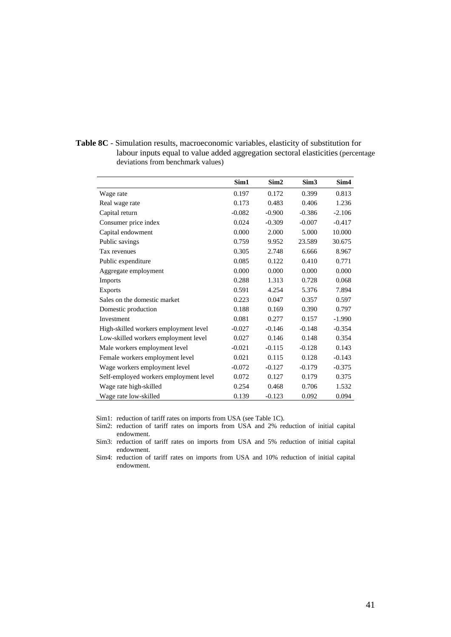**Table 8C** - Simulation results, macroeconomic variables, elasticity of substitution for labour inputs equal to value added aggregation sectoral elasticities (percentage deviations from benchmark values)

|                                        | Sim1     | Sim <sub>2</sub> | Sim <sub>3</sub> | Sim <sub>4</sub> |
|----------------------------------------|----------|------------------|------------------|------------------|
| Wage rate                              | 0.197    | 0.172            | 0.399            | 0.813            |
| Real wage rate                         | 0.173    | 0.483            | 0.406            | 1.236            |
| Capital return                         | $-0.082$ | $-0.900$         | $-0.386$         | $-2.106$         |
| Consumer price index                   | 0.024    | $-0.309$         | $-0.007$         | $-0.417$         |
| Capital endowment                      | 0.000    | 2.000            | 5.000            | 10.000           |
| Public savings                         | 0.759    | 9.952            | 23.589           | 30.675           |
| Tax revenues                           | 0.305    | 2.748            | 6.666            | 8.967            |
| Public expenditure                     | 0.085    | 0.122            | 0.410            | 0.771            |
| Aggregate employment                   | 0.000    | 0.000            | 0.000            | 0.000            |
| <b>Imports</b>                         | 0.288    | 1.313            | 0.728            | 0.068            |
| <b>Exports</b>                         | 0.591    | 4.254            | 5.376            | 7.894            |
| Sales on the domestic market           | 0.223    | 0.047            | 0.357            | 0.597            |
| Domestic production                    | 0.188    | 0.169            | 0.390            | 0.797            |
| Investment                             | 0.081    | 0.277            | 0.157            | $-1.990$         |
| High-skilled workers employment level  | $-0.027$ | $-0.146$         | $-0.148$         | $-0.354$         |
| Low-skilled workers employment level   | 0.027    | 0.146            | 0.148            | 0.354            |
| Male workers employment level          | $-0.021$ | $-0.115$         | $-0.128$         | 0.143            |
| Female workers employment level        | 0.021    | 0.115            | 0.128            | $-0.143$         |
| Wage workers employment level          | $-0.072$ | $-0.127$         | $-0.179$         | $-0.375$         |
| Self-employed workers employment level | 0.072    | 0.127            | 0.179            | 0.375            |
| Wage rate high-skilled                 | 0.254    | 0.468            | 0.706            | 1.532            |
| Wage rate low-skilled                  | 0.139    | $-0.123$         | 0.092            | 0.094            |

Sim1: reduction of tariff rates on imports from USA (see Table 1C).

Sim2: reduction of tariff rates on imports from USA and 2% reduction of initial capital endowment.

Sim3: reduction of tariff rates on imports from USA and 5% reduction of initial capital endowment.

Sim4: reduction of tariff rates on imports from USA and 10% reduction of initial capital endowment.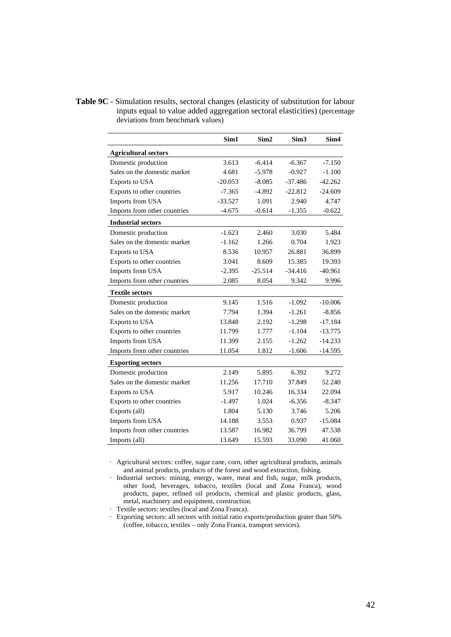**Table 9C** - Simulation results, sectoral changes (elasticity of substitution for labour inputs equal to value added aggregation sectoral elasticities) (percentage deviations from benchmark values)

|                              | Sim1      | Sim <sub>2</sub> | Sim <sub>3</sub> | Sim4      |
|------------------------------|-----------|------------------|------------------|-----------|
| <b>Agricultural sectors</b>  |           |                  |                  |           |
| Domestic production          | 3.613     | $-6.414$         | $-6.367$         | $-7.150$  |
| Sales on the domestic market | 4.681     | $-5.978$         | $-0.927$         | $-1.100$  |
| Exports to USA               | $-20.053$ | $-8.085$         | $-37.486$        | $-42.262$ |
| Exports to other countries   | $-7.365$  | $-4.892$         | $-22.812$        | $-24.609$ |
| Imports from USA             | $-33.527$ | 1.091            | 2.940            | 4.747     |
| Imports from other countries | $-4.675$  | $-0.614$         | $-1.355$         | $-0.622$  |
| <b>Industrial sectors</b>    |           |                  |                  |           |
| Domestic production          | $-1.623$  | 2.460            | 3.030            | 5.484     |
| Sales on the domestic market | $-1.162$  | 1.266            | 0.704            | 1.923     |
| Exports to USA               | 8.536     | 10.957           | 26.881           | 36.899    |
| Exports to other countries   | 3.041     | 8.609            | 15.385           | 19.393    |
| Imports from USA             | $-2.395$  | $-25.514$        | $-34.416$        | $-40.961$ |
| Imports from other countries | 2.085     | 8.054            | 9.342            | 9.996     |
| <b>Textile sectors</b>       |           |                  |                  |           |
| Domestic production          | 9.145     | 1.516            | $-1.092$         | $-10.006$ |
| Sales on the domestic market | 7.794     | 1.394            | $-1.261$         | $-8.856$  |
| Exports to USA               | 13.848    | 2.192            | $-1.298$         | $-17.184$ |
| Exports to other countries   | 11.799    | 1.777            | $-1.104$         | $-13.775$ |
| Imports from USA             | 11.399    | 2.155            | $-1.262$         | $-14.233$ |
| Imports from other countries | 11.054    | 1.812            | $-1.606$         | -14.595   |
| <b>Exporting sectors</b>     |           |                  |                  |           |
| Domestic production          | 2.149     | 5.895            | 6.392            | 9.272     |
| Sales on the domestic market | 11.256    | 17.710           | 37.849           | 52.240    |
| Exports to USA               | 5.917     | 10.246           | 16.334           | 22.094    |
| Exports to other countries   | $-1.497$  | 1.024            | $-6.356$         | $-8.347$  |
| Exports (all)                | 1.804     | 5.130            | 3.746            | 5.206     |
| Imports from USA             | 14.188    | 3.553            | 0.937            | $-15.084$ |
| Imports from other countries | 13.587    | 16.982           | 36.799           | 47.538    |
| Imports (all)                | 13.649    | 15.593           | 33.090           | 41.060    |

· Agricultural sectors: coffee, sugar cane, corn, other agricultural products, animals and animal products, products of the forest and wood extraction, fishing.

· Industrial sectors: mining, energy, water, meat and fish, sugar, milk products, other food, beverages, tobacco, textiles (local and Zona Franca), wood products, paper, refined oil products, chemical and plastic products, glass, metal, machinery and equipment, construction.

· Textile sectors: textiles (local and Zona Franca).

· Exporting sectors: all sectors with initial ratio exports/production grater than 50% (coffee, tobacco, textiles – only Zona Franca, transport services).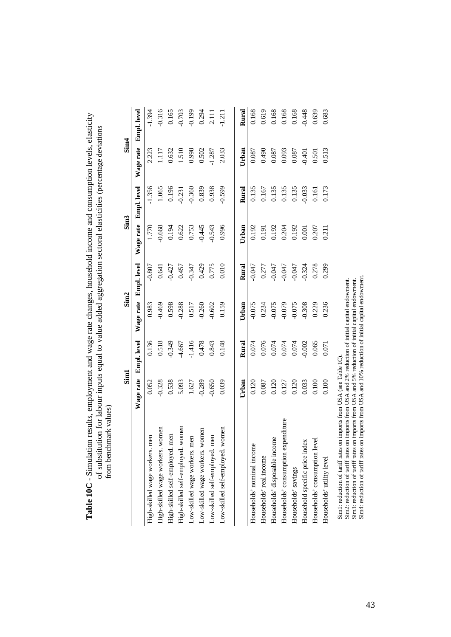|                                      | Sim1      |                    | Sim <sub>2</sub> |                    |           | Sim <sub>3</sub> | Sim <sub>4</sub> |                    |
|--------------------------------------|-----------|--------------------|------------------|--------------------|-----------|------------------|------------------|--------------------|
|                                      | Wage rate | <b>Empl.</b> level | Wage rate        | <b>Empl.</b> level | Wage rate | Empl. level      | Wage rate        | <b>Empl.</b> level |
| High-skilled wage workers. men       | 0.052     | 0.136              | 0.983            | $-0.807$           | 1.770     | $-1.356$         | 2.223            | $-1.394$           |
| High-skilled wage workers. women     | $-0.328$  | 0.518              | $-0.469$         | 0.641              | 0.668     | 1.065            | 1.117            | 0.316              |
| High-skilled self-employed. men      | 0.538     | 0.349              | 0.598            | $-0.427$           | 0.194     | 0.196            | 0.632            | 0.165              |
| women<br>High-skilled self-employed. | 5.093     | 4.667              | 0.288            | 0.457              | 0.622     | 0.231            | $1.510$          | 0.703              |
| Low-skilled wage workers. men        | 1.627     | $-1.416$           | 0.517            | $-0.347$           | 0.753     | 0.360            | 0.998            | $-0.199$           |
| Low-skilled wage workers. women      | $-0.289$  | 0.478              | 0.260            | 0.429              | 0.445     | 0.839            | 0.502            | 0.294<br>2.111     |
| Low-skilled self-employed. men       | $-0.650$  | 0.843              | 0.602            | 0.775              | 0.543     | 0.938            | 1.287            |                    |
| vomen<br>Low-skilled self-employed.  | 0.039     | 0.148              | 0.159            | 0.010              | 0.996     | $-0.599$         | 2.033            | 1.211              |
|                                      | Urban     | Rural              | Urban            | Rural              | Urban     | Rural            | Urban            | Rural              |
| Households' nominal income           | 0.120     | 0.074              | $-0.075$         | $-0.047$           | 0.192     | 0.135            | 0.087            | 0.168              |
| Households' real income              | $0.087\,$ | 0.076              | 0.234            | 0.277              | 0.191     | 0.167            | 0.490            | 0.619              |
| Households' disposable income        | 0.120     | $0.074$<br>0.074   | $-0.075$         | $-0.047$           | 0.192     | 0.135            | 0.087            | 0.168              |
| Households' consumption expenditure  | 0.127     |                    | $-0.079$         | 0.047              | 0.204     | 0.135            | 0.093            | 0.168              |
| Households' savings                  | 0.120     | 0.074              | $-0.075$         | $-0.047$           | 0.192     | 0.135            | 0.087            | 0.168              |
| Household specific price index       | 0.033     | 0.002              | 0.308            | $-0.324$           | $0.001\,$ | $-0.033$         | $-0.401$         | 0.448              |
| Households' consumption level        | 0.100     | 0.065              | 0.229            | 0.278              | 0.207     | 0.161            | 0.501            | 0.639              |
| Households' utility level            | 0.100     | 0.071              | 0.236            | 0.299              | 0.211     | 0.173            | 0.513            | 0.683              |

**Table 10C** - Simulation results, employment and wage rate changes, household income and consumption levels, elasticity Table 10C - Simulation results, employment and wage rate changes, household income and consumption levels, elasticity of substitution for labour inputs equal to value added aggregation sectoral elasticities (percentage deviations of substitution for labour inputs equal to value added aggregation sectoral elasticities (percentage deviations

Sim!: reduction of tariff rates on imports from USA (see Table IC).<br>Sim2: reduction of tariff rates on imports from USA and 2% reduction of initial capital endowment.<br>Sim3: reduction of tariff rates on imports from USA and Sim4: reduction of tariff rates on imports from USA and 10% reduction of initial capital endowment. Sim2: reduction of tariff rates on imports from USA and 2% reduction of initial capital endowment. Sim3: reduction of tariff rates on imports from USA and 5% reduction of initial capital endowment. Sim1: reduction of tariff rates on imports from USA (see Table 1C).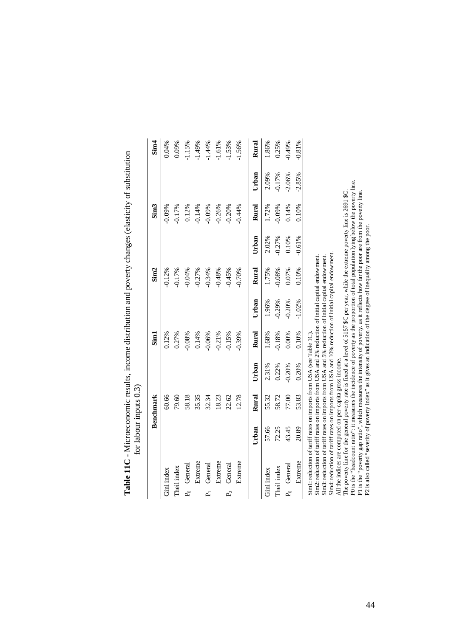|                                                                                                                                                                                                                                                                                                                                                                                                                                                                                                                                                                                                                                                                                                                                                                                                                                                                                                                                                                                                | for labour inputs $0.3$ ) |                  |          |          |          |          |          |                  |          |          |
|------------------------------------------------------------------------------------------------------------------------------------------------------------------------------------------------------------------------------------------------------------------------------------------------------------------------------------------------------------------------------------------------------------------------------------------------------------------------------------------------------------------------------------------------------------------------------------------------------------------------------------------------------------------------------------------------------------------------------------------------------------------------------------------------------------------------------------------------------------------------------------------------------------------------------------------------------------------------------------------------|---------------------------|------------------|----------|----------|----------|----------|----------|------------------|----------|----------|
|                                                                                                                                                                                                                                                                                                                                                                                                                                                                                                                                                                                                                                                                                                                                                                                                                                                                                                                                                                                                |                           | <b>Benchmark</b> |          | Sim1     |          | Sim2     |          | Sim <sub>3</sub> |          | Sim4     |
| Gini index                                                                                                                                                                                                                                                                                                                                                                                                                                                                                                                                                                                                                                                                                                                                                                                                                                                                                                                                                                                     |                           | 60.66            |          | 0.12%    |          | $-0.12%$ |          | $-0.09%$         |          | 0.04%    |
| Theil index                                                                                                                                                                                                                                                                                                                                                                                                                                                                                                                                                                                                                                                                                                                                                                                                                                                                                                                                                                                    |                           | 79.60            |          | 0.27%    |          | $-0.17%$ |          | $-0.17%$         |          | 0.09%    |
| $P_0$ General                                                                                                                                                                                                                                                                                                                                                                                                                                                                                                                                                                                                                                                                                                                                                                                                                                                                                                                                                                                  |                           | 58.18            |          | $-0.08%$ |          | $-0.04%$ |          | 0.12%            |          | $-1.15%$ |
| Extreme                                                                                                                                                                                                                                                                                                                                                                                                                                                                                                                                                                                                                                                                                                                                                                                                                                                                                                                                                                                        |                           | 35.35            |          | 0.14%    |          | $-0.27%$ |          | $-0.14%$         |          | $-1.49%$ |
| General<br>p.                                                                                                                                                                                                                                                                                                                                                                                                                                                                                                                                                                                                                                                                                                                                                                                                                                                                                                                                                                                  |                           | 32.34            |          | $-0.06%$ |          | $-0.34%$ |          | $-0.09%$         |          | $-1.44%$ |
| Extreme                                                                                                                                                                                                                                                                                                                                                                                                                                                                                                                                                                                                                                                                                                                                                                                                                                                                                                                                                                                        |                           | 18.23            |          | $-0.21%$ |          | $-0.48%$ |          | $-0.26%$         |          | $-1.61%$ |
| General<br>$P_2$                                                                                                                                                                                                                                                                                                                                                                                                                                                                                                                                                                                                                                                                                                                                                                                                                                                                                                                                                                               |                           | 22.62            |          | $-0.15%$ |          | $-0.45%$ |          | $-0.20%$         |          | $-1.53%$ |
| Extreme                                                                                                                                                                                                                                                                                                                                                                                                                                                                                                                                                                                                                                                                                                                                                                                                                                                                                                                                                                                        |                           | 12.78            |          | $-0.39%$ |          | $-0.70%$ |          | $-0.44%$         |          | $-1.56%$ |
|                                                                                                                                                                                                                                                                                                                                                                                                                                                                                                                                                                                                                                                                                                                                                                                                                                                                                                                                                                                                | Urban                     | Rural            | Urban    | Rural    | Urban    | Rural    | Urban    | Rural            | Urban    | Rural    |
| Gini index                                                                                                                                                                                                                                                                                                                                                                                                                                                                                                                                                                                                                                                                                                                                                                                                                                                                                                                                                                                     | 57.66                     | 55.32            | 2.31%    | 1.68%    | 1.96%    | 1.75%    | 2.02%    | 1.72%            | 2.09%    | 1.86%    |
| Theil index                                                                                                                                                                                                                                                                                                                                                                                                                                                                                                                                                                                                                                                                                                                                                                                                                                                                                                                                                                                    | 72.25                     | 58.72            | 0.22%    | $-0.18%$ | $-0.29%$ | $-0.08%$ | $-0.27%$ | $-0.09%$         | $-0.17%$ | 0.25%    |
| P <sub>0</sub> General                                                                                                                                                                                                                                                                                                                                                                                                                                                                                                                                                                                                                                                                                                                                                                                                                                                                                                                                                                         | 43.45                     | 77.00            | $-0.20%$ | 0.00%    | $-0.20%$ | 0.07%    | 0.10%    | 0.14%            | $-2.06%$ | $-0.49%$ |
| Extreme                                                                                                                                                                                                                                                                                                                                                                                                                                                                                                                                                                                                                                                                                                                                                                                                                                                                                                                                                                                        | 20.89                     | 53.83            | 0.20%    | 0.10%    | $-1.02%$ | 0.10%    | $-0.61%$ | 0.10%            | $-2.85%$ | $-0.81%$ |
| P0 is the "headcount ratio": it measures the incidence of poverty as the proportion of total population lying below the poverty line.<br>The poverty line for the general poverty rate is fixed at a level of 5157 \$C per year, while the extreme poverty line is 2691 \$C.<br>P1 is the "poverty gap ratio", which measures the intensity of poverty. as it reflects how far the poor are from the poverty line.<br>P2 is also called "severity of poverty index" as it gives an indication of the degree of inequality among the poor.<br>Sim4: reduction of tariff rates on imports from USA and 10% reduction of initial capital endowment.<br>Sim2: reduction of tariff rates on imports from USA and 2% reduction of initial capital endowment.<br>Sim3: reduction of tariff rates on imports from USA and 5% reduction of initial capital endowment.<br>Sim1: reduction of tariff rates on imports from USA (see Table 1C)<br>All the indices are computed on per-capita gross income. |                           |                  |          |          |          |          |          |                  |          |          |

| .<br>!<br>Ì |  |
|-------------|--|
|             |  |
|             |  |
| j           |  |
| י<br>.<br>E |  |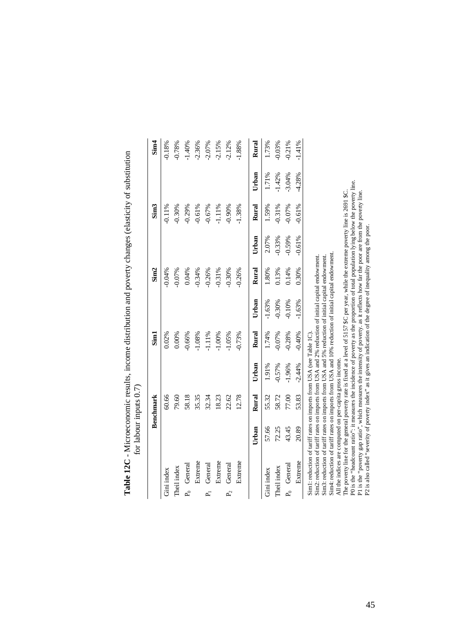|                                                                                                                                                                                                                                                                                                                                                                                                                                                                                                                                                                                                                                                                                                                                                                                                                                                                                                                                                                                                | for labour inputs 0.7) |           |          |          |          |                  |          |                  |          |          |
|------------------------------------------------------------------------------------------------------------------------------------------------------------------------------------------------------------------------------------------------------------------------------------------------------------------------------------------------------------------------------------------------------------------------------------------------------------------------------------------------------------------------------------------------------------------------------------------------------------------------------------------------------------------------------------------------------------------------------------------------------------------------------------------------------------------------------------------------------------------------------------------------------------------------------------------------------------------------------------------------|------------------------|-----------|----------|----------|----------|------------------|----------|------------------|----------|----------|
|                                                                                                                                                                                                                                                                                                                                                                                                                                                                                                                                                                                                                                                                                                                                                                                                                                                                                                                                                                                                |                        | Benchmark |          | Sim1     |          | Sim <sub>2</sub> |          | Sim <sub>3</sub> |          | Sim4     |
| Gini index                                                                                                                                                                                                                                                                                                                                                                                                                                                                                                                                                                                                                                                                                                                                                                                                                                                                                                                                                                                     |                        | 60.66     |          | 0.02%    |          | $-0.04%$         |          | 0.11%            |          | $-0.18%$ |
| Theil index                                                                                                                                                                                                                                                                                                                                                                                                                                                                                                                                                                                                                                                                                                                                                                                                                                                                                                                                                                                    |                        | 79.60     |          | 0.00%    |          | $-0.07%$         |          | $-0.30%$         |          | $-0.78%$ |
| $P_0$ General                                                                                                                                                                                                                                                                                                                                                                                                                                                                                                                                                                                                                                                                                                                                                                                                                                                                                                                                                                                  |                        | 58.18     |          | $-0.66%$ |          | 0.04%            |          | $-0.29%$         |          | $-1.40%$ |
| Extreme                                                                                                                                                                                                                                                                                                                                                                                                                                                                                                                                                                                                                                                                                                                                                                                                                                                                                                                                                                                        |                        | 35.35     |          | $-1.08%$ |          | $-0.34%$         |          | $-0.61%$         |          | $-2.36%$ |
| General<br>$\vec{P}$                                                                                                                                                                                                                                                                                                                                                                                                                                                                                                                                                                                                                                                                                                                                                                                                                                                                                                                                                                           |                        | 32.34     |          | $-1.11%$ |          | $-0.26%$         |          | $-0.67%$         |          | $-2.07%$ |
| Extreme                                                                                                                                                                                                                                                                                                                                                                                                                                                                                                                                                                                                                                                                                                                                                                                                                                                                                                                                                                                        |                        | 18.23     |          | $-1.00%$ |          | $-0.31%$         |          | $-1.11%$         |          | $-2.15%$ |
| General<br>P <sub>2</sub>                                                                                                                                                                                                                                                                                                                                                                                                                                                                                                                                                                                                                                                                                                                                                                                                                                                                                                                                                                      |                        | 22.62     |          | $-1.05%$ |          | $-0.30%$         |          | $-0.90%$         |          | $-2.12%$ |
| Extreme                                                                                                                                                                                                                                                                                                                                                                                                                                                                                                                                                                                                                                                                                                                                                                                                                                                                                                                                                                                        |                        | 12.78     |          | $-0.73%$ |          | $-0.26%$         |          | $-1.38%$         |          | $-1.88%$ |
|                                                                                                                                                                                                                                                                                                                                                                                                                                                                                                                                                                                                                                                                                                                                                                                                                                                                                                                                                                                                | Urban                  | Rural     | Urban    | Rural    | Urban    | Rural            | Urban    | Rural            | Urban    | Rural    |
| Gini index                                                                                                                                                                                                                                                                                                                                                                                                                                                                                                                                                                                                                                                                                                                                                                                                                                                                                                                                                                                     | 57.66                  | 55.32     | 1.91%    | 1.74%    | $-1.63%$ | 1.80%            | 2.07%    | 1.59%            | 1.71%    | 1.73%    |
| Theil index                                                                                                                                                                                                                                                                                                                                                                                                                                                                                                                                                                                                                                                                                                                                                                                                                                                                                                                                                                                    | 72.25                  | 58.72     | $-0.57%$ | $-0.07%$ | $-0.30%$ | 0.13%            | $-0.33%$ | $-0.31%$         | $-1.42%$ | $-0.03%$ |
| $P_0$ General                                                                                                                                                                                                                                                                                                                                                                                                                                                                                                                                                                                                                                                                                                                                                                                                                                                                                                                                                                                  | 43.45                  | 77.00     | $-1.96%$ | $-0.28%$ | $-0.10%$ | 0.14%            | $-0.59%$ | $-0.07%$         | $-3.04%$ | $-0.21%$ |
| Extreme                                                                                                                                                                                                                                                                                                                                                                                                                                                                                                                                                                                                                                                                                                                                                                                                                                                                                                                                                                                        | 20.89                  | 53.83     | $-2.44%$ | $-0.40%$ | $-1.63%$ | 0.30%            | $-0.61%$ | $-0.61%$         | $-4.28%$ | $-1.41%$ |
| P0 is the "headcount ratio": it measures the incidence of poverty as the proportion of total population lying below the poverty line.<br>The poverty line for the general poverty rate is fixed at a level of 5157 \$C per year, while the extreme poverty line is 2691 \$C.<br>P1 is the "poverty gap ratio", which measures the intensity of poverty. as it reflects how far the poor are from the poverty line.<br>P2 is also called "severity of poverty index" as it gives an indication of the degree of inequality among the poor.<br>Sin4: reduction of tariff rates on imports from USA and 10% reduction of initial capital endowment.<br>Sim2: reduction of tariff rates on imports from USA and 2% reduction of initial capital endowment.<br>Sim3: reduction of tariff rates on imports from USA and 5% reduction of initial capital endowment.<br>Sim1: reduction of tariff rates on imports from USA (see Table 1C)<br>All the indices are computed on per-capita gross income. |                        |           |          |          |          |                  |          |                  |          |          |

| Contractor in the contractor                                |               |
|-------------------------------------------------------------|---------------|
|                                                             |               |
|                                                             |               |
| can enough to an one distribution on a process ob one of ol |               |
|                                                             |               |
|                                                             |               |
|                                                             |               |
|                                                             |               |
|                                                             |               |
|                                                             | ı             |
|                                                             |               |
|                                                             |               |
|                                                             |               |
| i                                                           | $\frac{1}{2}$ |
| Ì                                                           |               |
| こうしょう へんせい てんこう                                             |               |